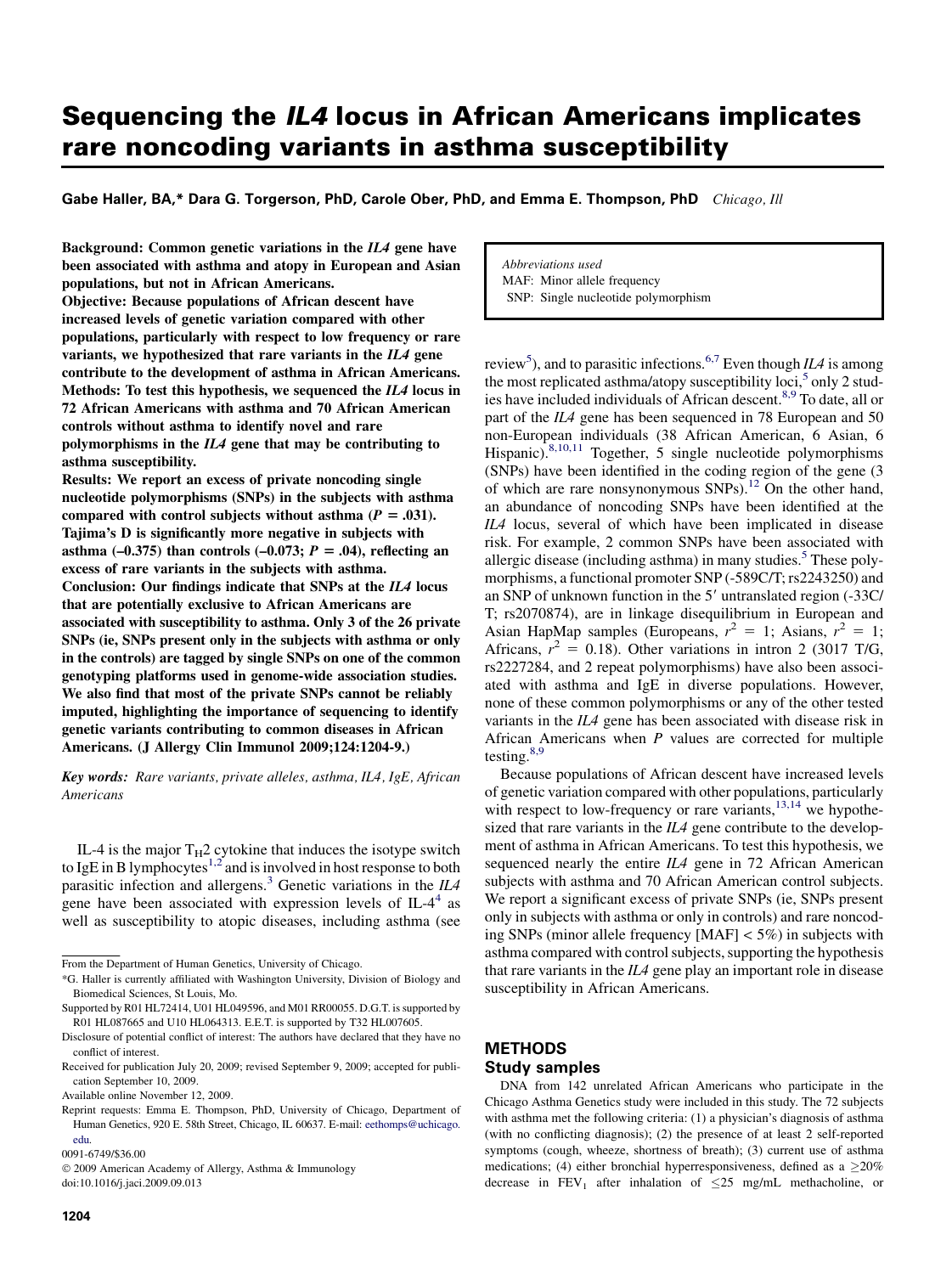# Sequencing the IL4 locus in African Americans implicates rare noncoding variants in asthma susceptibility

Gabe Haller, BA,\* Dara G. Torgerson, PhD, Carole Ober, PhD, and Emma E. Thompson, PhD Chicago, Ill

Background: Common genetic variations in the IL4 gene have been associated with asthma and atopy in European and Asian populations, but not in African Americans.

Objective: Because populations of African descent have increased levels of genetic variation compared with other populations, particularly with respect to low frequency or rare variants, we hypothesized that rare variants in the IL4 gene contribute to the development of asthma in African Americans. Methods: To test this hypothesis, we sequenced the IL4 locus in 72 African Americans with asthma and 70 African American controls without asthma to identify novel and rare polymorphisms in the IL4 gene that may be contributing to asthma susceptibility.

Results: We report an excess of private noncoding single nucleotide polymorphisms (SNPs) in the subjects with asthma compared with control subjects without asthma ( $P = .031$ ). Tajima's D is significantly more negative in subjects with asthma  $(-0.375)$  than controls  $(-0.073; P = .04)$ , reflecting an excess of rare variants in the subjects with asthma. Conclusion: Our findings indicate that SNPs at the IL4 locus that are potentially exclusive to African Americans are associated with susceptibility to asthma. Only 3 of the 26 private SNPs (ie, SNPs present only in the subjects with asthma or only in the controls) are tagged by single SNPs on one of the common genotyping platforms used in genome-wide association studies. We also find that most of the private SNPs cannot be reliably imputed, highlighting the importance of sequencing to identify genetic variants contributing to common diseases in African Americans. (J Allergy Clin Immunol 2009;124:1204-9.)

Key words: Rare variants, private alleles, asthma, IL4, IgE, African Americans

IL-4 is the major  $T_H2$  cytokine that induces the isotype switch to IgE in B lymphocytes<sup>[1,2](#page-4-0)</sup> and is involved in host response to both parasitic infection and allergens.<sup>[3](#page-4-0)</sup> Genetic variations in the  $IIA$ gene have been associated with expression levels of  $IL-4<sup>4</sup>$  $IL-4<sup>4</sup>$  $IL-4<sup>4</sup>$  as well as susceptibility to atopic diseases, including asthma (see

Abbreviations used MAF: Minor allele frequency SNP: Single nucleotide polymorphism

review<sup>[5](#page-4-0)</sup>), and to parasitic infections.<sup>[6,7](#page-4-0)</sup> Even though *ILA* is among the most replicated asthma/atopy susceptibility loci, $5$  only 2 stud-ies have included individuals of African descent.<sup>[8,9](#page-4-0)</sup> To date, all or part of the IL4 gene has been sequenced in 78 European and 50 non-European individuals (38 African American, 6 Asian, 6 Hispanic).<sup>[8,10,11](#page-4-0)</sup> Together, 5 single nucleotide polymorphisms (SNPs) have been identified in the coding region of the gene (3 of which are rare nonsynonymous SNPs).<sup>[12](#page-4-0)</sup> On the other hand, an abundance of noncoding SNPs have been identified at the IL4 locus, several of which have been implicated in disease risk. For example, 2 common SNPs have been associated with allergic disease (including asthma) in many studies.<sup>[5](#page-4-0)</sup> These polymorphisms, a functional promoter SNP (-589C/T; rs2243250) and an SNP of unknown function in the 5' untranslated region (-33C/ T; rs2070874), are in linkage disequilibrium in European and Asian HapMap samples (Europeans,  $r^2 = 1$ ; Asians,  $r^2 = 1$ ; Africans,  $r^2 = 0.18$ ). Other variations in intron 2 (3017 T/G, rs2227284, and 2 repeat polymorphisms) have also been associated with asthma and IgE in diverse populations. However, none of these common polymorphisms or any of the other tested variants in the IL4 gene has been associated with disease risk in African Americans when  $P$  values are corrected for multiple testing.[8,9](#page-4-0)

Because populations of African descent have increased levels of genetic variation compared with other populations, particularly with respect to low-frequency or rare variants,  $^{13,14}$  $^{13,14}$  $^{13,14}$  we hypothesized that rare variants in the  $IL4$  gene contribute to the development of asthma in African Americans. To test this hypothesis, we sequenced nearly the entire IL4 gene in 72 African American subjects with asthma and 70 African American control subjects. We report a significant excess of private SNPs (ie, SNPs present only in subjects with asthma or only in controls) and rare noncoding SNPs (minor allele frequency  $[MAF] < 5\%$ ) in subjects with asthma compared with control subjects, supporting the hypothesis that rare variants in the  $II/4$  gene play an important role in disease susceptibility in African Americans.

### **METHODS**

### Study samples

DNA from 142 unrelated African Americans who participate in the Chicago Asthma Genetics study were included in this study. The 72 subjects with asthma met the following criteria: (1) a physician's diagnosis of asthma (with no conflicting diagnosis); (2) the presence of at least 2 self-reported symptoms (cough, wheeze, shortness of breath); (3) current use of asthma medications; (4) either bronchial hyperresponsiveness, defined as a  $\geq$ 20% decrease in FEV<sub>1</sub> after inhalation of  $\leq$ 25 mg/mL methacholine, or

From the Department of Human Genetics, University of Chicago.

<sup>\*</sup>G. Haller is currently affiliated with Washington University, Division of Biology and Biomedical Sciences, St Louis, Mo.

Supported by R01 HL72414, U01 HL049596, and M01 RR00055. D.G.T. is supported by R01 HL087665 and U10 HL064313. E.E.T. is supported by T32 HL007605.

Disclosure of potential conflict of interest: The authors have declared that they have no conflict of interest.

Received for publication July 20, 2009; revised September 9, 2009; accepted for publication September 10, 2009.

Available online November 12, 2009.

Reprint requests: Emma E. Thompson, PhD, University of Chicago, Department of Human Genetics, 920 E. 58th Street, Chicago, IL 60637. E-mail: [eethomps@uchicago.](mailto:eethomps@uchicago.edu) [edu.](mailto:eethomps@uchicago.edu)

<sup>0091-6749/\$36.00</sup>

<sup>-</sup> 2009 American Academy of Allergy, Asthma & Immunology doi:10.1016/j.jaci.2009.09.013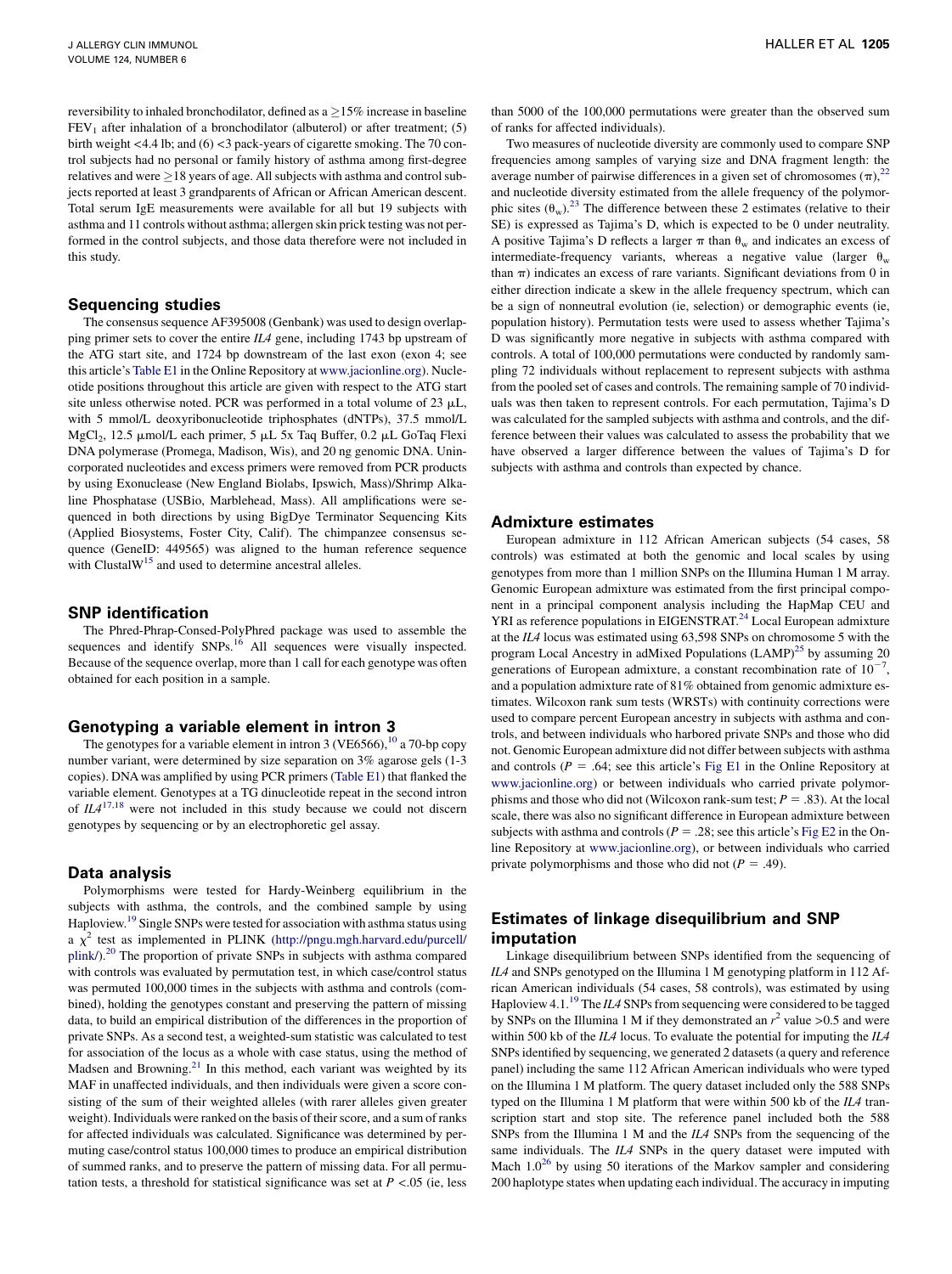reversibility to inhaled bronchodilator, defined as a  $\geq$ 15% increase in baseline  $FEV<sub>1</sub>$  after inhalation of a bronchodilator (albuterol) or after treatment; (5) birth weight <4.4 lb; and (6) <3 pack-years of cigarette smoking. The 70 control subjects had no personal or family history of asthma among first-degree relatives and were  $\geq$  18 years of age. All subjects with asthma and control subjects reported at least 3 grandparents of African or African American descent. Total serum IgE measurements were available for all but 19 subjects with asthma and 11 controls without asthma; allergen skin prick testing was not performed in the control subjects, and those data therefore were not included in this study.

#### Sequencing studies

The consensus sequence AF395008 (Genbank) was used to design overlapping primer sets to cover the entire IL4 gene, including 1743 bp upstream of the ATG start site, and 1724 bp downstream of the last exon (exon 4; see this article's Table E1 in the Online Repository at [www.jacionline.org](http://www.jacionline.org)). Nucleotide positions throughout this article are given with respect to the ATG start site unless otherwise noted. PCR was performed in a total volume of  $23 \mu L$ , with 5 mmol/L deoxyribonucleotide triphosphates (dNTPs), 37.5 mmol/L MgCl<sub>2</sub>, 12.5  $\mu$ mol/L each primer, 5  $\mu$ L 5x Taq Buffer, 0.2  $\mu$ L GoTaq Flexi DNA polymerase (Promega, Madison, Wis), and 20 ng genomic DNA. Unincorporated nucleotides and excess primers were removed from PCR products by using Exonuclease (New England Biolabs, Ipswich, Mass)/Shrimp Alkaline Phosphatase (USBio, Marblehead, Mass). All amplifications were sequenced in both directions by using BigDye Terminator Sequencing Kits (Applied Biosystems, Foster City, Calif). The chimpanzee consensus sequence (GeneID: 449565) was aligned to the human reference sequence with ClustalW<sup>15</sup> and used to determine ancestral alleles.

### SNP identification

The Phred-Phrap-Consed-PolyPhred package was used to assemble the sequences and identify SNPs.<sup>16</sup> All sequences were visually inspected. Because of the sequence overlap, more than 1 call for each genotype was often obtained for each position in a sample.

### Genotyping a variable element in intron 3

The genotypes for a variable element in intron 3 (VE6566),  $^{10}$  a 70-bp copy number variant, were determined by size separation on 3% agarose gels (1-3 copies). DNA was amplified by using PCR primers (Table E1) that flanked the variable element. Genotypes at a TG dinucleotide repeat in the second intron of  $IL4^{17,18}$  $IL4^{17,18}$  $IL4^{17,18}$  were not included in this study because we could not discern genotypes by sequencing or by an electrophoretic gel assay.

### Data analysis

Polymorphisms were tested for Hardy-Weinberg equilibrium in the subjects with asthma, the controls, and the combined sample by using Haploview[.19](#page-4-0) Single SNPs were tested for association with asthma status using a  $\chi^2$  test as implemented in PLINK [\(http://pngu.mgh.harvard.edu/purcell/](http://pngu.mgh.harvard.edu/purcell/plink/) [plink/](http://pngu.mgh.harvard.edu/purcell/plink/)).<sup>20</sup> The proportion of private SNPs in subjects with asthma compared with controls was evaluated by permutation test, in which case/control status was permuted 100,000 times in the subjects with asthma and controls (combined), holding the genotypes constant and preserving the pattern of missing data, to build an empirical distribution of the differences in the proportion of private SNPs. As a second test, a weighted-sum statistic was calculated to test for association of the locus as a whole with case status, using the method of Madsen and Browning.<sup>[21](#page-5-0)</sup> In this method, each variant was weighted by its MAF in unaffected individuals, and then individuals were given a score consisting of the sum of their weighted alleles (with rarer alleles given greater weight). Individuals were ranked on the basis of their score, and a sum of ranks for affected individuals was calculated. Significance was determined by permuting case/control status 100,000 times to produce an empirical distribution of summed ranks, and to preserve the pattern of missing data. For all permutation tests, a threshold for statistical significance was set at  $P < .05$  (ie, less than 5000 of the 100,000 permutations were greater than the observed sum of ranks for affected individuals).

Two measures of nucleotide diversity are commonly used to compare SNP frequencies among samples of varying size and DNA fragment length: the average number of pairwise differences in a given set of chromosomes  $(\pi)$ ,<sup>22</sup> and nucleotide diversity estimated from the allele frequency of the polymorphic sites  $(\theta_w)$ .<sup>[23](#page-5-0)</sup> The difference between these 2 estimates (relative to their SE) is expressed as Tajima's D, which is expected to be 0 under neutrality. A positive Tajima's D reflects a larger  $\pi$  than  $\theta_w$  and indicates an excess of intermediate-frequency variants, whereas a negative value (larger  $\theta_w$ than  $\pi$ ) indicates an excess of rare variants. Significant deviations from 0 in either direction indicate a skew in the allele frequency spectrum, which can be a sign of nonneutral evolution (ie, selection) or demographic events (ie, population history). Permutation tests were used to assess whether Tajima's D was significantly more negative in subjects with asthma compared with controls. A total of 100,000 permutations were conducted by randomly sampling 72 individuals without replacement to represent subjects with asthma from the pooled set of cases and controls. The remaining sample of 70 individuals was then taken to represent controls. For each permutation, Tajima's D was calculated for the sampled subjects with asthma and controls, and the difference between their values was calculated to assess the probability that we have observed a larger difference between the values of Tajima's D for subjects with asthma and controls than expected by chance.

#### Admixture estimates

European admixture in 112 African American subjects (54 cases, 58 controls) was estimated at both the genomic and local scales by using genotypes from more than 1 million SNPs on the Illumina Human 1 M array. Genomic European admixture was estimated from the first principal component in a principal component analysis including the HapMap CEU and YRI as reference populations in EIGENSTRAT.<sup>24</sup> Local European admixture at the IL4 locus was estimated using 63,598 SNPs on chromosome 5 with the program Local Ancestry in adMixed Populations  $(LAMP)^{25}$  by assuming 20 generations of European admixture, a constant recombination rate of  $10^{-7}$ , and a population admixture rate of 81% obtained from genomic admixture estimates. Wilcoxon rank sum tests (WRSTs) with continuity corrections were used to compare percent European ancestry in subjects with asthma and controls, and between individuals who harbored private SNPs and those who did not. Genomic European admixture did not differ between subjects with asthma and controls ( $P = .64$ ; see this article's Fig E1 in the Online Repository at [www.jacionline.org\)](http://www.jacionline.org) or between individuals who carried private polymorphisms and those who did not (Wilcoxon rank-sum test;  $P = .83$ ). At the local scale, there was also no significant difference in European admixture between subjects with asthma and controls ( $P = .28$ ; see this article's Fig E2 in the Online Repository at [www.jacionline.org](http://www.jacionline.org)), or between individuals who carried private polymorphisms and those who did not ( $P = .49$ ).

### Estimates of linkage disequilibrium and SNP imputation

Linkage disequilibrium between SNPs identified from the sequencing of IL4 and SNPs genotyped on the Illumina 1 M genotyping platform in 112 African American individuals (54 cases, 58 controls), was estimated by using Haploview 4.1.<sup>[19](#page-4-0)</sup> The *ILA* SNPs from sequencing were considered to be tagged by SNPs on the Illumina 1 M if they demonstrated an  $r^2$  value >0.5 and were within 500 kb of the  $IL4$  locus. To evaluate the potential for imputing the  $IL4$ SNPs identified by sequencing, we generated 2 datasets (a query and reference panel) including the same 112 African American individuals who were typed on the Illumina 1 M platform. The query dataset included only the 588 SNPs typed on the Illumina 1 M platform that were within 500 kb of the IL4 transcription start and stop site. The reference panel included both the 588 SNPs from the Illumina 1 M and the IL4 SNPs from the sequencing of the same individuals. The IL4 SNPs in the query dataset were imputed with Mach  $1.0^{26}$  $1.0^{26}$  $1.0^{26}$  by using 50 iterations of the Markov sampler and considering 200 haplotype states when updating each individual. The accuracy in imputing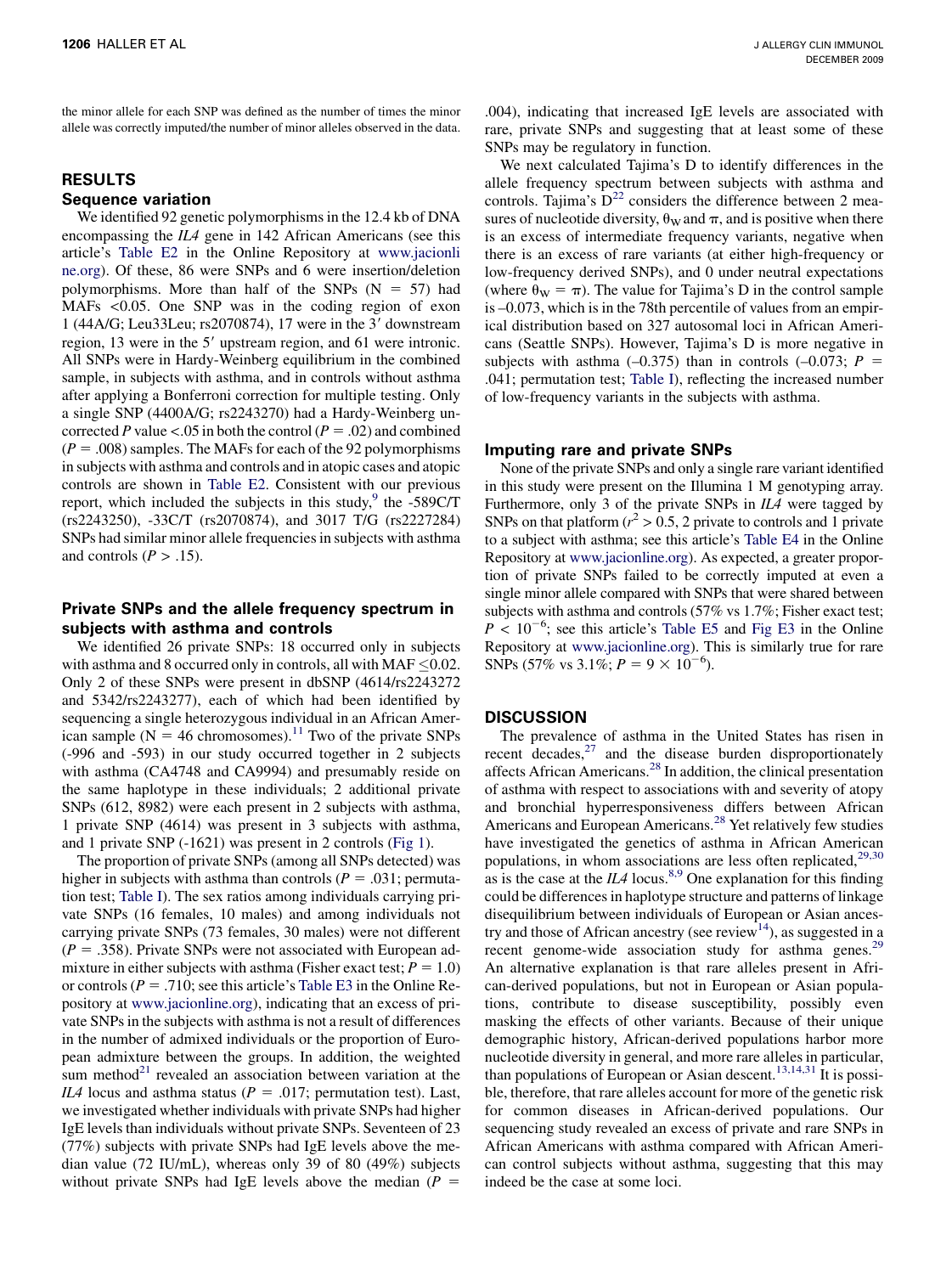the minor allele for each SNP was defined as the number of times the minor allele was correctly imputed/the number of minor alleles observed in the data.

## RESULTS Sequence variation

We identified 92 genetic polymorphisms in the 12.4 kb of DNA encompassing the IL4 gene in 142 African Americans (see this article's Table E2 in the Online Repository at [www.jacionli](http://www.jacionline.org) [ne.org\)](http://www.jacionline.org). Of these, 86 were SNPs and 6 were insertion/deletion polymorphisms. More than half of the SNPs  $(N = 57)$  had MAFs <0.05. One SNP was in the coding region of exon 1 (44A/G; Leu33Leu; rs2070874), 17 were in the 3' downstream region, 13 were in the 5' upstream region, and 61 were intronic. All SNPs were in Hardy-Weinberg equilibrium in the combined sample, in subjects with asthma, and in controls without asthma after applying a Bonferroni correction for multiple testing. Only a single SNP (4400A/G; rs2243270) had a Hardy-Weinberg uncorrected P value <.05 in both the control ( $P = .02$ ) and combined  $(P = .008)$  samples. The MAFs for each of the 92 polymorphisms in subjects with asthma and controls and in atopic cases and atopic controls are shown in Table E2. Consistent with our previous report, which included the subjects in this study, $9$  the -589C/T (rs2243250), -33C/T (rs2070874), and 3017 T/G (rs2227284) SNPs had similar minor allele frequencies in subjects with asthma and controls ( $P > .15$ ).

### Private SNPs and the allele frequency spectrum in subjects with asthma and controls

We identified 26 private SNPs: 18 occurred only in subjects with asthma and 8 occurred only in controls, all with MAF  $\leq$  0.02. Only 2 of these SNPs were present in dbSNP (4614/rs2243272 and 5342/rs2243277), each of which had been identified by sequencing a single heterozygous individual in an African American sample ( $N = 46$  chromosomes).<sup>[11](#page-4-0)</sup> Two of the private SNPs (-996 and -593) in our study occurred together in 2 subjects with asthma (CA4748 and CA9994) and presumably reside on the same haplotype in these individuals; 2 additional private SNPs (612, 8982) were each present in 2 subjects with asthma, 1 private SNP (4614) was present in 3 subjects with asthma, and 1 private SNP (-1621) was present in 2 controls ([Fig 1](#page-3-0)).

The proportion of private SNPs (among all SNPs detected) was higher in subjects with asthma than controls ( $P = .031$ ; permutation test; [Table I\)](#page-4-0). The sex ratios among individuals carrying private SNPs (16 females, 10 males) and among individuals not carrying private SNPs (73 females, 30 males) were not different  $(P = .358)$ . Private SNPs were not associated with European admixture in either subjects with asthma (Fisher exact test;  $P = 1.0$ ) or controls ( $P = .710$ ; see this article's Table E3 in the Online Repository at [www.jacionline.org](http://www.jacionline.org)), indicating that an excess of private SNPs in the subjects with asthma is not a result of differences in the number of admixed individuals or the proportion of European admixture between the groups. In addition, the weighted sum method $21$  revealed an association between variation at the IL4 locus and asthma status ( $P = .017$ ; permutation test). Last, we investigated whether individuals with private SNPs had higher IgE levels than individuals without private SNPs. Seventeen of 23 (77%) subjects with private SNPs had IgE levels above the median value (72 IU/mL), whereas only 39 of 80 (49%) subjects without private SNPs had IgE levels above the median ( $P =$ 

.004), indicating that increased IgE levels are associated with rare, private SNPs and suggesting that at least some of these SNPs may be regulatory in function.

We next calculated Tajima's D to identify differences in the allele frequency spectrum between subjects with asthma and controls. Tajima's  $D^{22}$  $D^{22}$  $D^{22}$  considers the difference between 2 measures of nucleotide diversity,  $\theta_{\rm W}$  and  $\pi$ , and is positive when there is an excess of intermediate frequency variants, negative when there is an excess of rare variants (at either high-frequency or low-frequency derived SNPs), and 0 under neutral expectations (where  $\theta_{\rm W} = \pi$ ). The value for Tajima's D in the control sample is –0.073, which is in the 78th percentile of values from an empirical distribution based on 327 autosomal loci in African Americans (Seattle SNPs). However, Tajima's D is more negative in subjects with asthma  $(-0.375)$  than in controls  $(-0.073; P =$ .041; permutation test; [Table I](#page-4-0)), reflecting the increased number of low-frequency variants in the subjects with asthma.

### Imputing rare and private SNPs

None of the private SNPs and only a single rare variant identified in this study were present on the Illumina 1 M genotyping array. Furthermore, only 3 of the private SNPs in IL4 were tagged by SNPs on that platform ( $r^2 > 0.5$ , 2 private to controls and 1 private to a subject with asthma; see this article's Table E4 in the Online Repository at [www.jacionline.org\)](http://www.jacionline.org). As expected, a greater proportion of private SNPs failed to be correctly imputed at even a single minor allele compared with SNPs that were shared between subjects with asthma and controls (57% vs 1.7%; Fisher exact test;  $P \sim 10^{-6}$ ; see this article's Table E5 and Fig E3 in the Online Repository at [www.jacionline.org](http://www.jacionline.org)). This is similarly true for rare SNPs (57% vs 3.1%;  $P = 9 \times 10^{-6}$ ).

### **DISCUSSION**

The prevalence of asthma in the United States has risen in recent  $decades$ , $^{27}$  and the disease burden disproportionately affects African Americans.[28](#page-5-0) In addition, the clinical presentation of asthma with respect to associations with and severity of atopy and bronchial hyperresponsiveness differs between African Americans and European Americans.<sup>[28](#page-5-0)</sup> Yet relatively few studies have investigated the genetics of asthma in African American populations, in whom associations are less often replicated, $29,30$ as is the case at the  $II/4$  locus.<sup>[8,9](#page-4-0)</sup> One explanation for this finding could be differences in haplotype structure and patterns of linkage disequilibrium between individuals of European or Asian ancestry and those of African ancestry (see review<sup>14</sup>), as suggested in a recent genome-wide association study for asthma genes.<sup>[29](#page-5-0)</sup> An alternative explanation is that rare alleles present in African-derived populations, but not in European or Asian populations, contribute to disease susceptibility, possibly even masking the effects of other variants. Because of their unique demographic history, African-derived populations harbor more nucleotide diversity in general, and more rare alleles in particular, than populations of European or Asian descent.<sup>[13,14,31](#page-4-0)</sup> It is possible, therefore, that rare alleles account for more of the genetic risk for common diseases in African-derived populations. Our sequencing study revealed an excess of private and rare SNPs in African Americans with asthma compared with African American control subjects without asthma, suggesting that this may indeed be the case at some loci.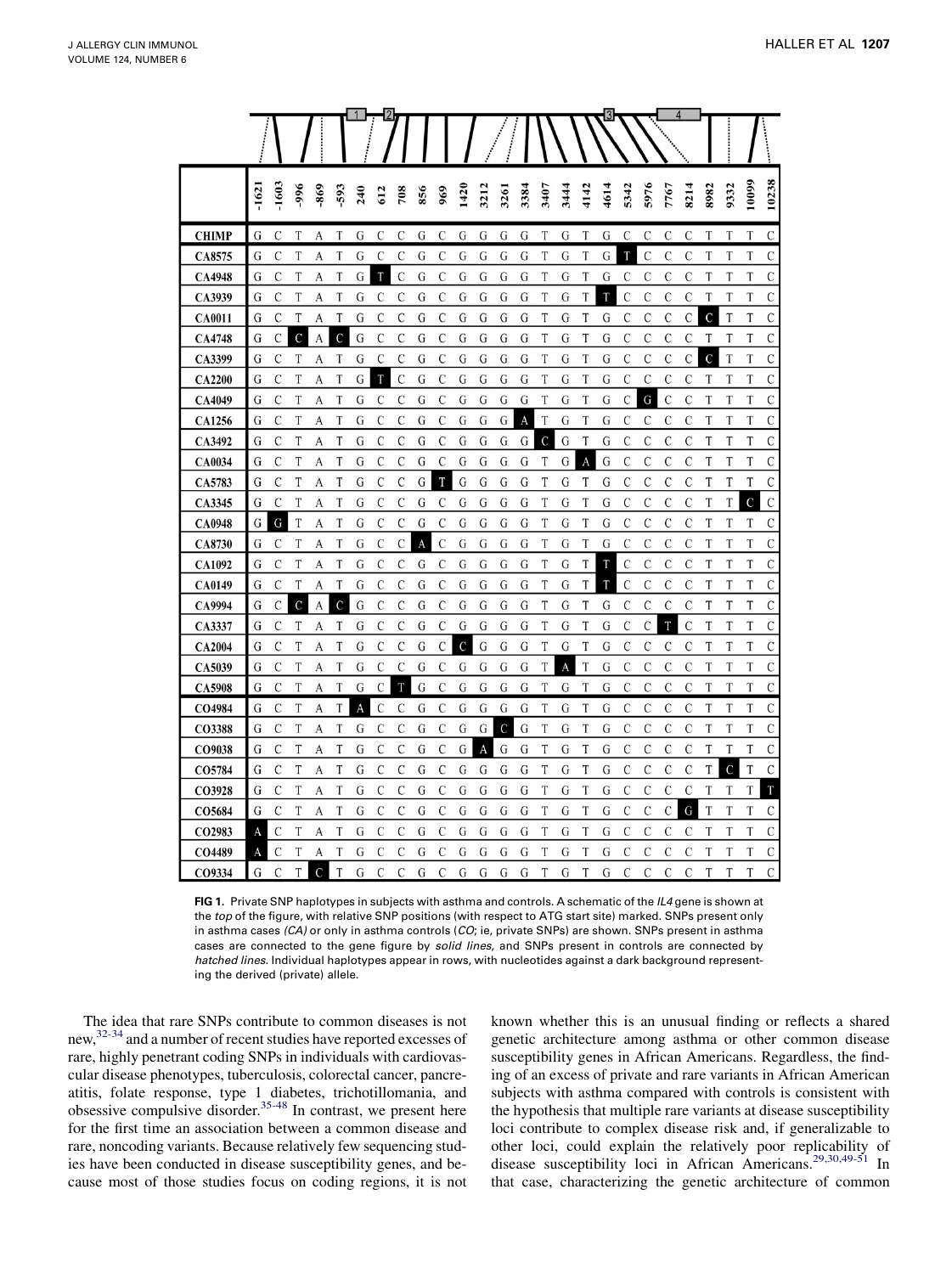<span id="page-3-0"></span>

|               |         |               |               |               |                |     |               |               |     |               |      |      |                |      |               |      |      | 3    |                |               |      | 4              |      |               |             |             |
|---------------|---------|---------------|---------------|---------------|----------------|-----|---------------|---------------|-----|---------------|------|------|----------------|------|---------------|------|------|------|----------------|---------------|------|----------------|------|---------------|-------------|-------------|
|               | $-1621$ | $-1603$       | $-996$        | 869           | 593            | 240 | 612           | 708           | 856 | 969           | 1420 | 3212 | 3261           | 3384 | 3407          | 3444 | 4142 | 4614 | 5342           | 5976          | 7767 | 8214           | 8982 | 9332          | 10099       | 10238       |
| <b>CHIMP</b>  | G       | C             | T             | А             | T              | G   | C             | C             | G   | $\mathcal{C}$ | G    | G    | G              | G    | T             | G    | T    | G    | C              | C             | C    | C              | T    | T             | T           | C           |
| CA8575        | G       | С             | T             | A             | T              | G   | $\mathcal{C}$ | C             | G   | C             | G    | G    | G              | G    | T             | G    | T    | G    | T              | $\mathcal{C}$ | C    | C              | T    | T             | T           | С           |
| CA4948        | G       | С             | T             | A             | T              | G   | T             | $\mathcal{C}$ | G   | C             | G    | G    | G              | G    | T             | G    | T    | G    | C              | C             | C    | C              | T    | T             | T           | С           |
| CA3939        | G       | C             | T             | A             | T              | G   | $\mathcal{C}$ | C             | G   | $\mathcal{C}$ | G    | G    | G              | G    | T             | G    | T    | T    | $\overline{C}$ | C             | C    | $\mathcal{C}$  | T    | T             | T           | C           |
| <b>CA0011</b> | G       | С             | T             | A             | T              | G   | $\mathcal{C}$ | C             | G   | C             | G    | G    | G              | G    | T             | G    | T    | G    | C              | C             | C    | $\mathcal{C}$  | C    | T             | T           | С           |
| CA4748        | G       | C             | $\mathbf C$   | А             | $\overline{C}$ | G   | $\mathcal{C}$ | C             | G   | C             | G    | G    | G              | G    | T             | G    | T    | G    | C              | C             | C    | C              | T    | T             | T           | С           |
| CA3399        | G       | C             | T             | A             | T              | G   | $\mathcal{C}$ | C             | G   | $\mathcal{C}$ | G    | G    | G              | G    | T             | G    | T    | G    | $\mathcal{C}$  | $\mathcal{C}$ | C    | $\overline{C}$ | Ċ    | T             | T           | C           |
| <b>CA2200</b> | G       | C             | T             | A             | T              | G   | T             | $\mathcal{C}$ | G   | $\mathcal{C}$ | G    | G    | G              | G    | T             | G    | T    | G    | C              | $\mathcal{C}$ | C    | C              | T    | T             | T           | С           |
| CA4049        | G       | C             | T             | A             | T              | G   | $\mathcal{C}$ | C             | G   | C             | G    | G    | G              | G    | T             | G    | T    | G    | C              | G             | C    | C              | T    | T             | T           | С           |
| <b>CA1256</b> | G       | C             | T             | A             | T              | G   | $\mathcal{C}$ | C             | G   | C             | G    | G    | G              | A    | T             | G    | T    | G    | $\mathcal{C}$  | C             | C    | $\mathcal{C}$  | T    | T             | T           | C           |
| CA3492        | G       | C             | T             | A             | T              | G   | $\mathcal{C}$ | C             | G   | $\mathcal{C}$ | G    | G    | G              | G    | $\mathcal{C}$ | G    | T    | G    | C              | C             | C    | C              | T    | T             | T           | C           |
| <b>CA0034</b> | G       | C             | T             | A             | T              | G   | C             | C             | G   | C             | G    | G    | G              | G    | T             | G    | A    | G    | C              | C             | C    | C              | T    | T             | T           | С           |
| CA5783        | G       | C             | T             | A             | T              | G   | $\mathcal{C}$ | C             | G   | T             | G    | G    | G              | G    | T             | G    | T    | G    | $\mathcal{C}$  | $\mathcal{C}$ | C    | $\mathcal{C}$  | T    | T             | T           | C           |
| CA3345        | G       | $\mathcal{C}$ | T             | A             | T              | G   | $\mathcal{C}$ | C             | G   | C             | G    | G    | G              | G    | T             | G    | T    | G    | $\mathcal{C}$  | C             | C    | C              | T    | T             | $\mathbf C$ | $\mathbf C$ |
| <b>CA0948</b> | G       | G             | T             | A             | T              | G   | C             | C             | G   | C             | G    | G    | G              | G    | T             | G    | T    | G    | C              | C             | C    | C              | T    | T             | T           | C           |
| CA8730        | G       | C             | T             | A             | T              | G   | $\mathcal{C}$ | C             | A   | $\mathcal{C}$ | G    | G    | G              | G    | T             | G    | T    | G    | C              | C             | C    | $\mathcal{C}$  | T    | T             | T           | С           |
| <b>CA1092</b> | G       | C             | T             | A             | T              | G   | $\mathcal{C}$ | C             | G   | $\mathcal{C}$ | G    | G    | G              | G    | T             | G    | T    | T    | $\mathcal{C}$  | $\mathcal{C}$ | C    | $\mathcal{C}$  | T    | T             | T           | С           |
| CA0149        | G       | C             | T             | A             | T              | G   | $\mathcal{C}$ | C             | G   | $\mathcal{C}$ | G    | G    | G              | G    | T             | G    | T    | T    | $\overline{C}$ | C             | C    | $\mathcal{C}$  | T    | T             | T           | C           |
| CA9994        | G       | C             | $\mathcal{C}$ | A             | $\overline{C}$ | G   | $\mathcal{C}$ | C             | G   | $\mathcal{C}$ | G    | G    | G              | G    | T             | G    | T    | G    | C              | C             | C    | $\mathcal{C}$  | T    | T             | T           | C           |
| CA3337        | G       | С             | T             | A             | T              | G   | $\mathcal{C}$ | C             | G   | C             | G    | G    | G              | G    | T             | G    | T    | G    | C              | C             | T    | $\mathcal{C}$  | T    | T             | T           | С           |
| <b>CA2004</b> | G       | C             | T             | A             | T              | G   | $\mathcal{C}$ | C             | G   | $\mathcal{C}$ | C    | G    | G              | G    | T             | G    | T    | G    | $\mathcal{C}$  | C             | C    | C              | T    | T             | T           | C           |
| CA5039        | G       | C             | T             | A             | T              | G   | $\mathcal{C}$ | $\mathcal{C}$ | G   | $\mathcal{C}$ | G    | G    | G              | G    | T             | A    | T    | G    | $\mathcal{C}$  | C             | C    | $\mathcal{C}$  | T    | T             | T           | C           |
| <b>CA5908</b> | G       | C             | T             | A             | T              | G   | $\mathcal{C}$ | T             | G   | $\mathcal{C}$ | G    | G    | G              | G    | T             | G    | T    | G    | C              | C             | C    | $\mathcal{C}$  | T    | T             | T           | C           |
| CO4984        | G       | C             | T             | A             | T              | A   | $\mathcal{C}$ | C             | G   | C             | G    | G    | G              | G    | T             | G    | T    | G    | C              | C             | C    | C              | T    | T             | T           | C           |
| CO3388        | G       | C             | T             | A             | T              | G   | $\mathcal{C}$ | C             | G   | $\mathcal{C}$ | G    | G    | $\overline{C}$ | G    | T             | G    | T    | G    | $\mathcal{C}$  | C             | C    | $\mathcal{C}$  | T    | T             | T           | C           |
| CO9038        | G       | С             | T             | A             | T              | G   | $\mathcal{C}$ | С             | G   | $\mathcal{C}$ | G    | A    | G              | G    | T             | G    | T    | G    | C              | C             | C    | C              | T    | T             | T           | С           |
| CO5784        | G       | C             | T             | A             | T              | G   | $\mathcal{C}$ | C             | G   | $\mathcal{C}$ | G    | G    | G              | G    | T             | G    | T    | G    | $\mathcal{C}$  | $\mathcal{C}$ | C    | $\mathcal{C}$  | T    | $\mathcal{C}$ | T           | C           |
| CO3928        | G       | C             | T             | А             | T              | G   | $\mathcal{C}$ | C             | G   | $\mathcal{C}$ | G    | G    | G              | G    | T             | G    | T    | G    | $\mathcal{C}$  | C             | C    | C              | T    | T             | T           | T           |
| CO5684        | G       | С             | T             | A             | T              | G   | $\mathcal{C}$ | C             | G   | C             | G    | G    | G              | G    | T             | G    | T    | G    | C              | C             | C    | G              | T    | T             | T           | С           |
| CO2983        | A       | C             | T             | A             | T              | G   | $\mathcal{C}$ | C             | G   | $\mathcal{C}$ | G    | G    | G              | G    | T             | G    | T    | G    | $\overline{C}$ | C             | C    | C              | T    | T             | T           | C           |
| CO4489        | A       | C             | T             | A             | T              | G   | C             | C             | G   | $\mathcal{C}$ | G    | G    | G              | G    | T             | G    | T    | G    | $\mathcal{C}$  | C             | C    | $\mathcal{C}$  | T    | T             | T           | C           |
| CO9334        | G       | C             | T             | $\mathcal{C}$ | T              | G   | $\mathcal{C}$ | C             | G   | $\mathcal{C}$ | G    | G    | G              | G    | T             | G    | T    | G    | C              | C             | C    | C              | T    | T             | T           | C           |

FIG 1. Private SNP haplotypes in subjects with asthma and controls. A schematic of the IL4 gene is shown at the top of the figure, with relative SNP positions (with respect to ATG start site) marked. SNPs present only in asthma cases (CA) or only in asthma controls (CO; ie, private SNPs) are shown. SNPs present in asthma cases are connected to the gene figure by solid lines, and SNPs present in controls are connected by hatched lines. Individual haplotypes appear in rows, with nucleotides against a dark background representing the derived (private) allele.

The idea that rare SNPs contribute to common diseases is not new,[32-34](#page-5-0) and a number of recent studies have reported excesses of rare, highly penetrant coding SNPs in individuals with cardiovascular disease phenotypes, tuberculosis, colorectal cancer, pancreatitis, folate response, type 1 diabetes, trichotillomania, and obsessive compulsive disorder.<sup>[35-48](#page-5-0)</sup> In contrast, we present here for the first time an association between a common disease and rare, noncoding variants. Because relatively few sequencing studies have been conducted in disease susceptibility genes, and because most of those studies focus on coding regions, it is not

known whether this is an unusual finding or reflects a shared genetic architecture among asthma or other common disease susceptibility genes in African Americans. Regardless, the finding of an excess of private and rare variants in African American subjects with asthma compared with controls is consistent with the hypothesis that multiple rare variants at disease susceptibility loci contribute to complex disease risk and, if generalizable to other loci, could explain the relatively poor replicability of disease susceptibility loci in African Americans.[29,30,49-51](#page-5-0) In that case, characterizing the genetic architecture of common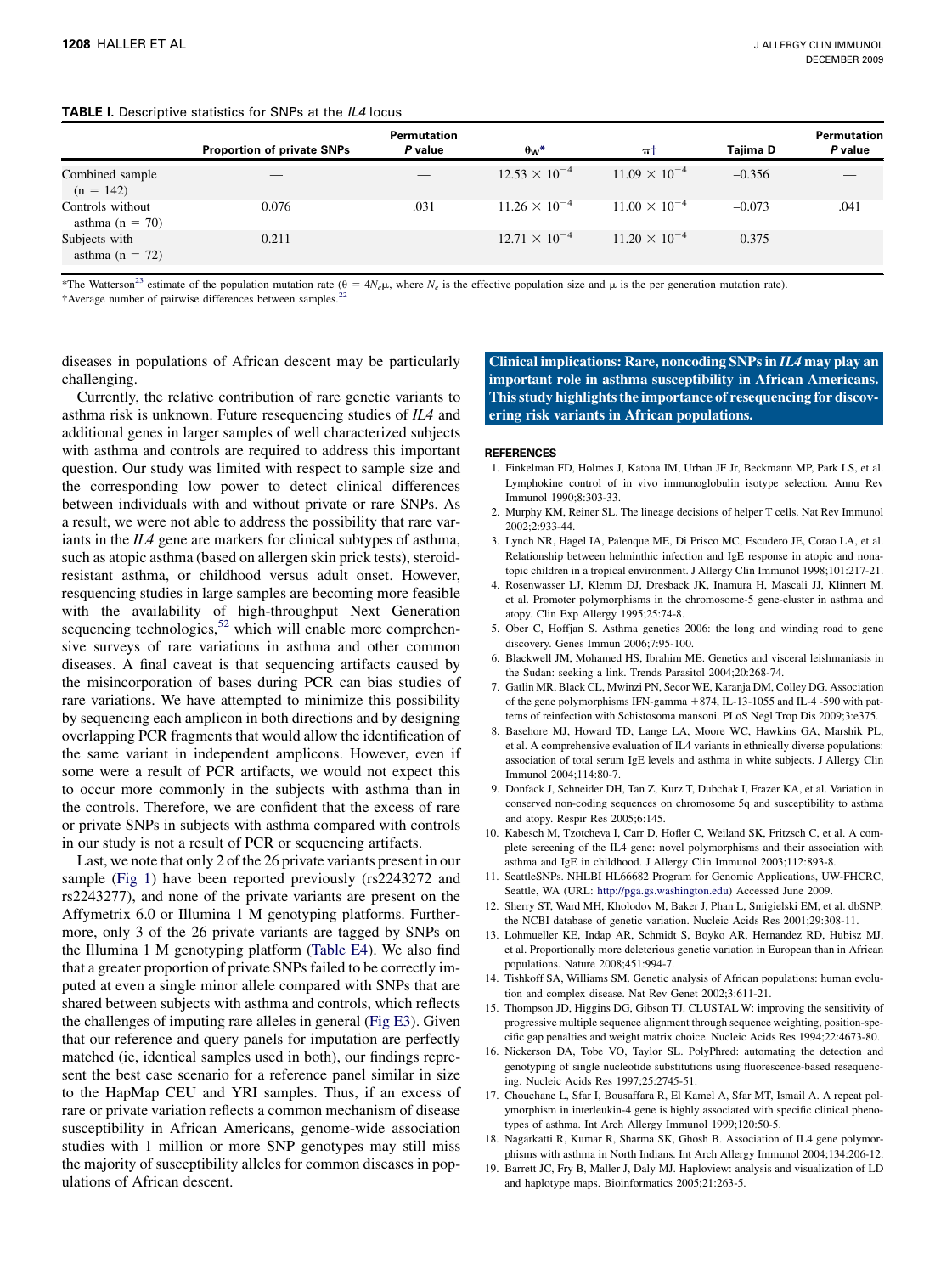<span id="page-4-0"></span>

| <b>TABLE I.</b> Descriptive statistics for SNPs at the IL4 locus |  |  |  |  |
|------------------------------------------------------------------|--|--|--|--|
|------------------------------------------------------------------|--|--|--|--|

|                                         | <b>Proportion of private SNPs</b> | <b>Permutation</b><br>P value | $\theta_w^*$           | $\pi$ t                | Taiima D | Permutation<br>P value |
|-----------------------------------------|-----------------------------------|-------------------------------|------------------------|------------------------|----------|------------------------|
| Combined sample<br>$(n = 142)$          |                                   |                               | $12.53 \times 10^{-4}$ | $11.09 \times 10^{-4}$ | $-0.356$ |                        |
| Controls without<br>asthma ( $n = 70$ ) | 0.076                             | .031                          | $11.26 \times 10^{-4}$ | $11.00 \times 10^{-4}$ | $-0.073$ | .041                   |
| Subjects with<br>asthma $(n = 72)$      | 0.211                             |                               | $12.71 \times 10^{-4}$ | $11.20 \times 10^{-4}$ | $-0.375$ |                        |

\*The Watterson<sup>23</sup> estimate of the population mutation rate ( $\theta = 4N_e\mu$ , where  $N_e$  is the effective population size and  $\mu$  is the per generation mutation rate).

†Average number of pairwise differences between samples.<sup>[22](#page-5-0)</sup>

diseases in populations of African descent may be particularly challenging.

Currently, the relative contribution of rare genetic variants to asthma risk is unknown. Future resequencing studies of IL4 and additional genes in larger samples of well characterized subjects with asthma and controls are required to address this important question. Our study was limited with respect to sample size and the corresponding low power to detect clinical differences between individuals with and without private or rare SNPs. As a result, we were not able to address the possibility that rare variants in the IL4 gene are markers for clinical subtypes of asthma, such as atopic asthma (based on allergen skin prick tests), steroidresistant asthma, or childhood versus adult onset. However, resquencing studies in large samples are becoming more feasible with the availability of high-throughput Next Generation sequencing technologies, $52$  which will enable more comprehensive surveys of rare variations in asthma and other common diseases. A final caveat is that sequencing artifacts caused by the misincorporation of bases during PCR can bias studies of rare variations. We have attempted to minimize this possibility by sequencing each amplicon in both directions and by designing overlapping PCR fragments that would allow the identification of the same variant in independent amplicons. However, even if some were a result of PCR artifacts, we would not expect this to occur more commonly in the subjects with asthma than in the controls. Therefore, we are confident that the excess of rare or private SNPs in subjects with asthma compared with controls in our study is not a result of PCR or sequencing artifacts.

Last, we note that only 2 of the 26 private variants present in our sample ([Fig 1](#page-3-0)) have been reported previously (rs2243272 and rs2243277), and none of the private variants are present on the Affymetrix 6.0 or Illumina 1 M genotyping platforms. Furthermore, only 3 of the 26 private variants are tagged by SNPs on the Illumina 1 M genotyping platform (Table E4). We also find that a greater proportion of private SNPs failed to be correctly imputed at even a single minor allele compared with SNPs that are shared between subjects with asthma and controls, which reflects the challenges of imputing rare alleles in general (Fig E3). Given that our reference and query panels for imputation are perfectly matched (ie, identical samples used in both), our findings represent the best case scenario for a reference panel similar in size to the HapMap CEU and YRI samples. Thus, if an excess of rare or private variation reflects a common mechanism of disease susceptibility in African Americans, genome-wide association studies with 1 million or more SNP genotypes may still miss the majority of susceptibility alleles for common diseases in populations of African descent.

Clinical implications: Rare, noncoding SNPs in IL4 may play an important role in asthma susceptibility in African Americans. This study highlights the importance of resequencing for discovering risk variants in African populations.

#### REFERENCES

- 1. Finkelman FD, Holmes J, Katona IM, Urban JF Jr, Beckmann MP, Park LS, et al. Lymphokine control of in vivo immunoglobulin isotype selection. Annu Rev Immunol 1990;8:303-33.
- 2. Murphy KM, Reiner SL. The lineage decisions of helper T cells. Nat Rev Immunol 2002;2:933-44.
- 3. Lynch NR, Hagel IA, Palenque ME, Di Prisco MC, Escudero JE, Corao LA, et al. Relationship between helminthic infection and IgE response in atopic and nonatopic children in a tropical environment. J Allergy Clin Immunol 1998;101:217-21.
- 4. Rosenwasser LJ, Klemm DJ, Dresback JK, Inamura H, Mascali JJ, Klinnert M, et al. Promoter polymorphisms in the chromosome-5 gene-cluster in asthma and atopy. Clin Exp Allergy 1995;25:74-8.
- 5. Ober C, Hoffjan S. Asthma genetics 2006: the long and winding road to gene discovery. Genes Immun 2006;7:95-100.
- 6. Blackwell JM, Mohamed HS, Ibrahim ME. Genetics and visceral leishmaniasis in the Sudan: seeking a link. Trends Parasitol 2004;20:268-74.
- 7. Gatlin MR, Black CL, Mwinzi PN, Secor WE, Karanja DM, Colley DG. Association of the gene polymorphisms IFN-gamma +874, IL-13-1055 and IL-4 -590 with patterns of reinfection with Schistosoma mansoni. PLoS Negl Trop Dis 2009;3:e375.
- 8. Basehore MJ, Howard TD, Lange LA, Moore WC, Hawkins GA, Marshik PL, et al. A comprehensive evaluation of IL4 variants in ethnically diverse populations: association of total serum IgE levels and asthma in white subjects. J Allergy Clin Immunol 2004;114:80-7.
- 9. Donfack J, Schneider DH, Tan Z, Kurz T, Dubchak I, Frazer KA, et al. Variation in conserved non-coding sequences on chromosome 5q and susceptibility to asthma and atopy. Respir Res 2005;6:145.
- 10. Kabesch M, Tzotcheva I, Carr D, Hofler C, Weiland SK, Fritzsch C, et al. A complete screening of the IL4 gene: novel polymorphisms and their association with asthma and IgE in childhood. J Allergy Clin Immunol 2003;112:893-8.
- 11. SeattleSNPs. NHLBI HL66682 Program for Genomic Applications, UW-FHCRC, Seattle, WA (URL: [http://pga.gs.washington.edu\)](http://pga.gs.washington.edu) Accessed June 2009.
- 12. Sherry ST, Ward MH, Kholodov M, Baker J, Phan L, Smigielski EM, et al. dbSNP: the NCBI database of genetic variation. Nucleic Acids Res 2001;29:308-11.
- 13. Lohmueller KE, Indap AR, Schmidt S, Boyko AR, Hernandez RD, Hubisz MJ, et al. Proportionally more deleterious genetic variation in European than in African populations. Nature 2008;451:994-7.
- 14. Tishkoff SA, Williams SM. Genetic analysis of African populations: human evolution and complex disease. Nat Rev Genet 2002;3:611-21.
- 15. Thompson JD, Higgins DG, Gibson TJ. CLUSTAL W: improving the sensitivity of progressive multiple sequence alignment through sequence weighting, position-specific gap penalties and weight matrix choice. Nucleic Acids Res 1994;22:4673-80.
- 16. Nickerson DA, Tobe VO, Taylor SL. PolyPhred: automating the detection and genotyping of single nucleotide substitutions using fluorescence-based resequencing. Nucleic Acids Res 1997;25:2745-51.
- 17. Chouchane L, Sfar I, Bousaffara R, El Kamel A, Sfar MT, Ismail A. A repeat polymorphism in interleukin-4 gene is highly associated with specific clinical phenotypes of asthma. Int Arch Allergy Immunol 1999;120:50-5.
- 18. Nagarkatti R, Kumar R, Sharma SK, Ghosh B. Association of IL4 gene polymorphisms with asthma in North Indians. Int Arch Allergy Immunol 2004;134:206-12.
- 19. Barrett JC, Fry B, Maller J, Daly MJ. Haploview: analysis and visualization of LD and haplotype maps. Bioinformatics 2005;21:263-5.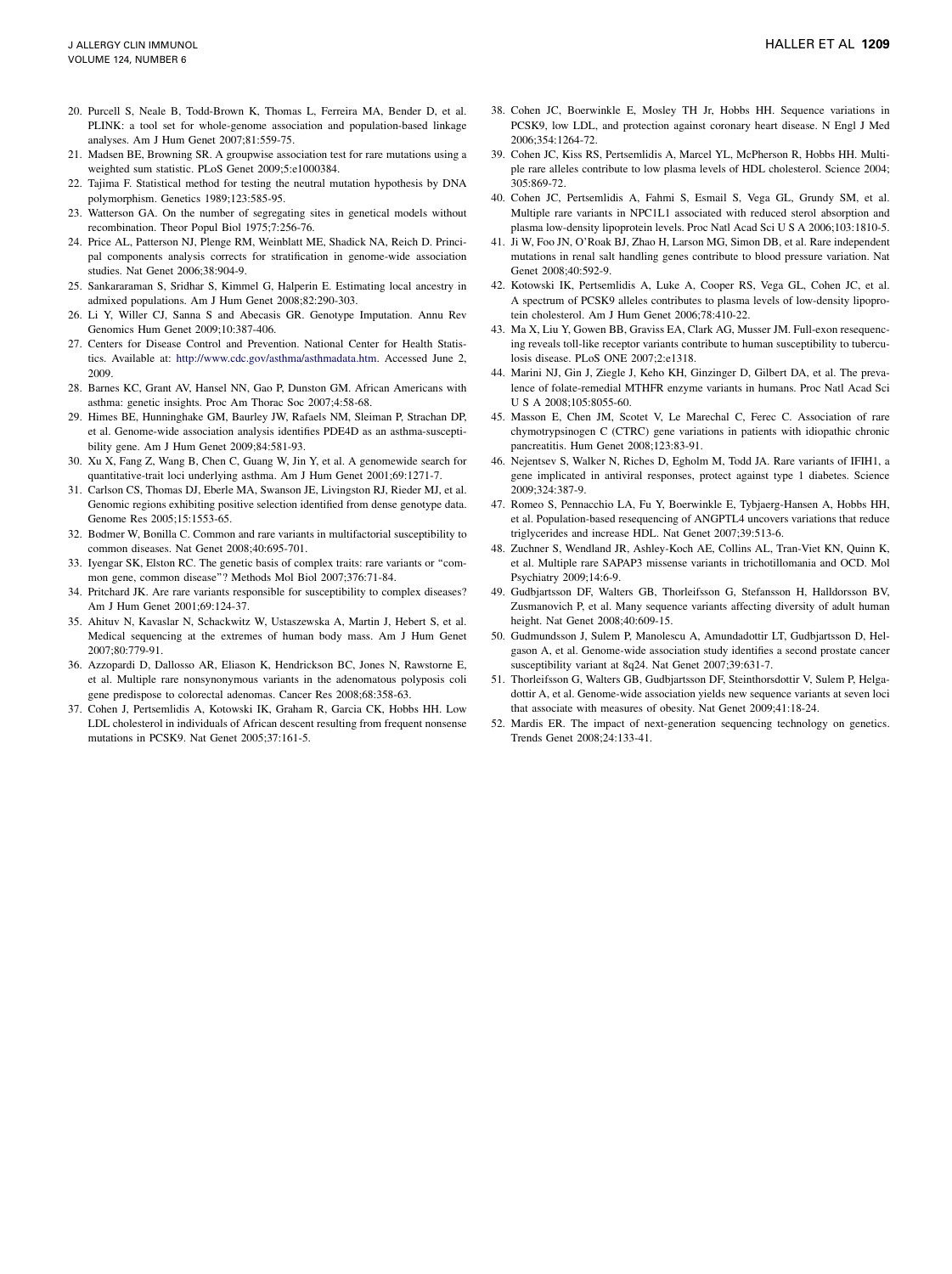- <span id="page-5-0"></span>20. Purcell S, Neale B, Todd-Brown K, Thomas L, Ferreira MA, Bender D, et al. PLINK: a tool set for whole-genome association and population-based linkage analyses. Am J Hum Genet 2007;81:559-75.
- 21. Madsen BE, Browning SR. A groupwise association test for rare mutations using a weighted sum statistic. PLoS Genet 2009;5:e1000384.
- 22. Tajima F. Statistical method for testing the neutral mutation hypothesis by DNA polymorphism. Genetics 1989;123:585-95.
- 23. Watterson GA. On the number of segregating sites in genetical models without recombination. Theor Popul Biol 1975;7:256-76.
- 24. Price AL, Patterson NJ, Plenge RM, Weinblatt ME, Shadick NA, Reich D. Principal components analysis corrects for stratification in genome-wide association studies. Nat Genet 2006;38:904-9.
- 25. Sankararaman S, Sridhar S, Kimmel G, Halperin E. Estimating local ancestry in admixed populations. Am J Hum Genet 2008;82:290-303.
- 26. Li Y, Willer CJ, Sanna S and Abecasis GR. Genotype Imputation. Annu Rev Genomics Hum Genet 2009;10:387-406.
- 27. Centers for Disease Control and Prevention. National Center for Health Statistics. Available at: [http://www.cdc.gov/asthma/asthmadata.htm.](http://www.cdc.gov/asthma/asthmadata.htm) Accessed June 2, 2009.
- 28. Barnes KC, Grant AV, Hansel NN, Gao P, Dunston GM. African Americans with asthma: genetic insights. Proc Am Thorac Soc 2007;4:58-68.
- 29. Himes BE, Hunninghake GM, Baurley JW, Rafaels NM, Sleiman P, Strachan DP, et al. Genome-wide association analysis identifies PDE4D as an asthma-susceptibility gene. Am J Hum Genet 2009;84:581-93.
- 30. Xu X, Fang Z, Wang B, Chen C, Guang W, Jin Y, et al. A genomewide search for quantitative-trait loci underlying asthma. Am J Hum Genet 2001;69:1271-7.
- 31. Carlson CS, Thomas DJ, Eberle MA, Swanson JE, Livingston RJ, Rieder MJ, et al. Genomic regions exhibiting positive selection identified from dense genotype data. Genome Res 2005;15:1553-65.
- 32. Bodmer W, Bonilla C. Common and rare variants in multifactorial susceptibility to common diseases. Nat Genet 2008;40:695-701.
- 33. Iyengar SK, Elston RC. The genetic basis of complex traits: rare variants or ''common gene, common disease''? Methods Mol Biol 2007;376:71-84.
- 34. Pritchard JK. Are rare variants responsible for susceptibility to complex diseases? Am J Hum Genet 2001;69:124-37.
- 35. Ahituv N, Kavaslar N, Schackwitz W, Ustaszewska A, Martin J, Hebert S, et al. Medical sequencing at the extremes of human body mass. Am J Hum Genet 2007;80:779-91.
- 36. Azzopardi D, Dallosso AR, Eliason K, Hendrickson BC, Jones N, Rawstorne E, et al. Multiple rare nonsynonymous variants in the adenomatous polyposis coli gene predispose to colorectal adenomas. Cancer Res 2008;68:358-63.
- 37. Cohen J, Pertsemlidis A, Kotowski IK, Graham R, Garcia CK, Hobbs HH. Low LDL cholesterol in individuals of African descent resulting from frequent nonsense mutations in PCSK9. Nat Genet 2005;37:161-5.
- 38. Cohen JC, Boerwinkle E, Mosley TH Jr, Hobbs HH. Sequence variations in PCSK9, low LDL, and protection against coronary heart disease. N Engl J Med 2006;354:1264-72.
- 39. Cohen JC, Kiss RS, Pertsemlidis A, Marcel YL, McPherson R, Hobbs HH. Multiple rare alleles contribute to low plasma levels of HDL cholesterol. Science 2004; 305:869-72.
- 40. Cohen JC, Pertsemlidis A, Fahmi S, Esmail S, Vega GL, Grundy SM, et al. Multiple rare variants in NPC1L1 associated with reduced sterol absorption and plasma low-density lipoprotein levels. Proc Natl Acad Sci U S A 2006;103:1810-5.
- 41. Ji W, Foo JN, O'Roak BJ, Zhao H, Larson MG, Simon DB, et al. Rare independent mutations in renal salt handling genes contribute to blood pressure variation. Nat Genet 2008;40:592-9.
- 42. Kotowski IK, Pertsemlidis A, Luke A, Cooper RS, Vega GL, Cohen JC, et al. A spectrum of PCSK9 alleles contributes to plasma levels of low-density lipoprotein cholesterol. Am J Hum Genet 2006;78:410-22.
- 43. Ma X, Liu Y, Gowen BB, Graviss EA, Clark AG, Musser JM. Full-exon resequencing reveals toll-like receptor variants contribute to human susceptibility to tuberculosis disease. PLoS ONE 2007;2:e1318.
- 44. Marini NJ, Gin J, Ziegle J, Keho KH, Ginzinger D, Gilbert DA, et al. The prevalence of folate-remedial MTHFR enzyme variants in humans. Proc Natl Acad Sci U S A 2008;105:8055-60.
- 45. Masson E, Chen JM, Scotet V, Le Marechal C, Ferec C. Association of rare chymotrypsinogen C (CTRC) gene variations in patients with idiopathic chronic pancreatitis. Hum Genet 2008;123:83-91.
- 46. Nejentsev S, Walker N, Riches D, Egholm M, Todd JA. Rare variants of IFIH1, a gene implicated in antiviral responses, protect against type 1 diabetes. Science 2009;324:387-9.
- 47. Romeo S, Pennacchio LA, Fu Y, Boerwinkle E, Tybjaerg-Hansen A, Hobbs HH, et al. Population-based resequencing of ANGPTL4 uncovers variations that reduce triglycerides and increase HDL. Nat Genet 2007;39:513-6.
- 48. Zuchner S, Wendland JR, Ashley-Koch AE, Collins AL, Tran-Viet KN, Quinn K, et al. Multiple rare SAPAP3 missense variants in trichotillomania and OCD. Mol Psychiatry 2009;14:6-9.
- 49. Gudbjartsson DF, Walters GB, Thorleifsson G, Stefansson H, Halldorsson BV, Zusmanovich P, et al. Many sequence variants affecting diversity of adult human height. Nat Genet 2008;40:609-15.
- 50. Gudmundsson J, Sulem P, Manolescu A, Amundadottir LT, Gudbjartsson D, Helgason A, et al. Genome-wide association study identifies a second prostate cancer susceptibility variant at 8q24. Nat Genet 2007;39:631-7.
- 51. Thorleifsson G, Walters GB, Gudbjartsson DF, Steinthorsdottir V, Sulem P, Helgadottir A, et al. Genome-wide association yields new sequence variants at seven loci that associate with measures of obesity. Nat Genet 2009;41:18-24.
- 52. Mardis ER. The impact of next-generation sequencing technology on genetics. Trends Genet 2008;24:133-41.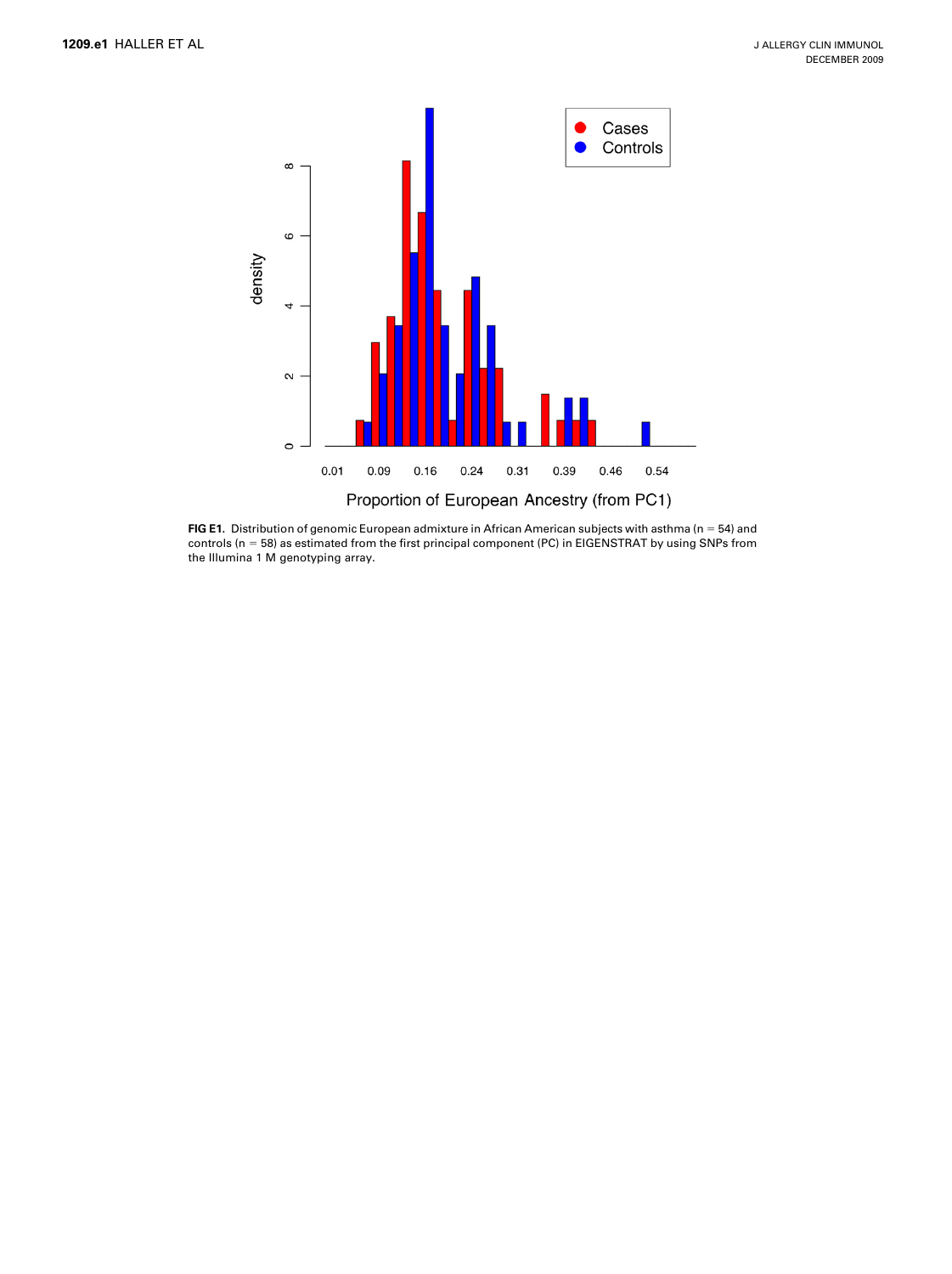

FIG E1. Distribution of genomic European admixture in African American subjects with asthma ( $n = 54$ ) and controls (n = 58) as estimated from the first principal component (PC) in EIGENSTRAT by using SNPs from the Illumina 1 M genotyping array.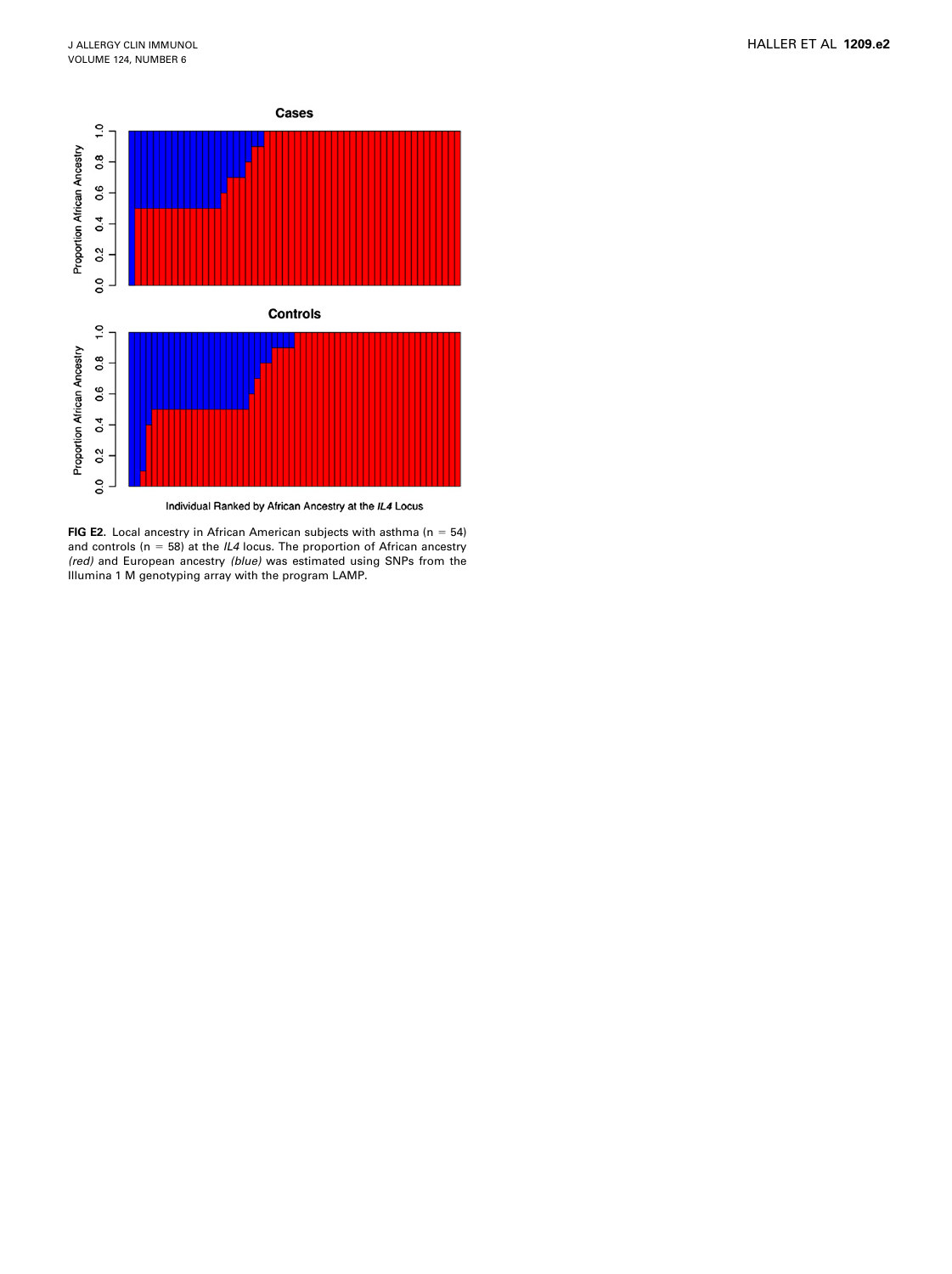

FIG E2. Local ancestry in African American subjects with asthma ( $n = 54$ ) and controls ( $n = 58$ ) at the IL4 locus. The proportion of African ancestry (red) and European ancestry (blue) was estimated using SNPs from the Illumina 1 M genotyping array with the program LAMP.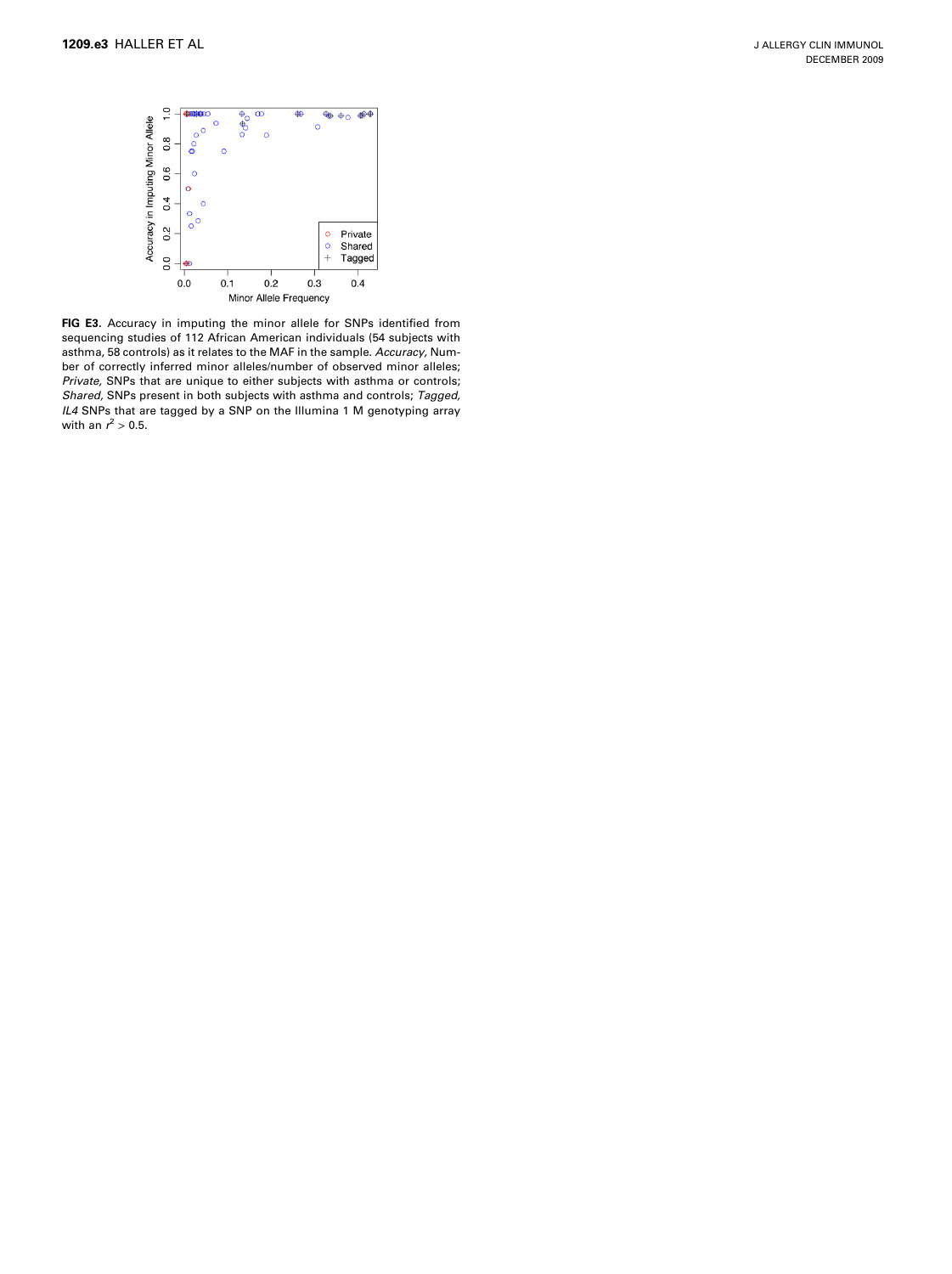

FIG E3. Accuracy in imputing the minor allele for SNPs identified from sequencing studies of 112 African American individuals (54 subjects with asthma, 58 controls) as it relates to the MAF in the sample. Accuracy, Number of correctly inferred minor alleles/number of observed minor alleles; Private, SNPs that are unique to either subjects with asthma or controls; Shared, SNPs present in both subjects with asthma and controls; Tagged, IL4 SNPs that are tagged by a SNP on the Illumina 1 M genotyping array with an  $r^2 > 0.5$ .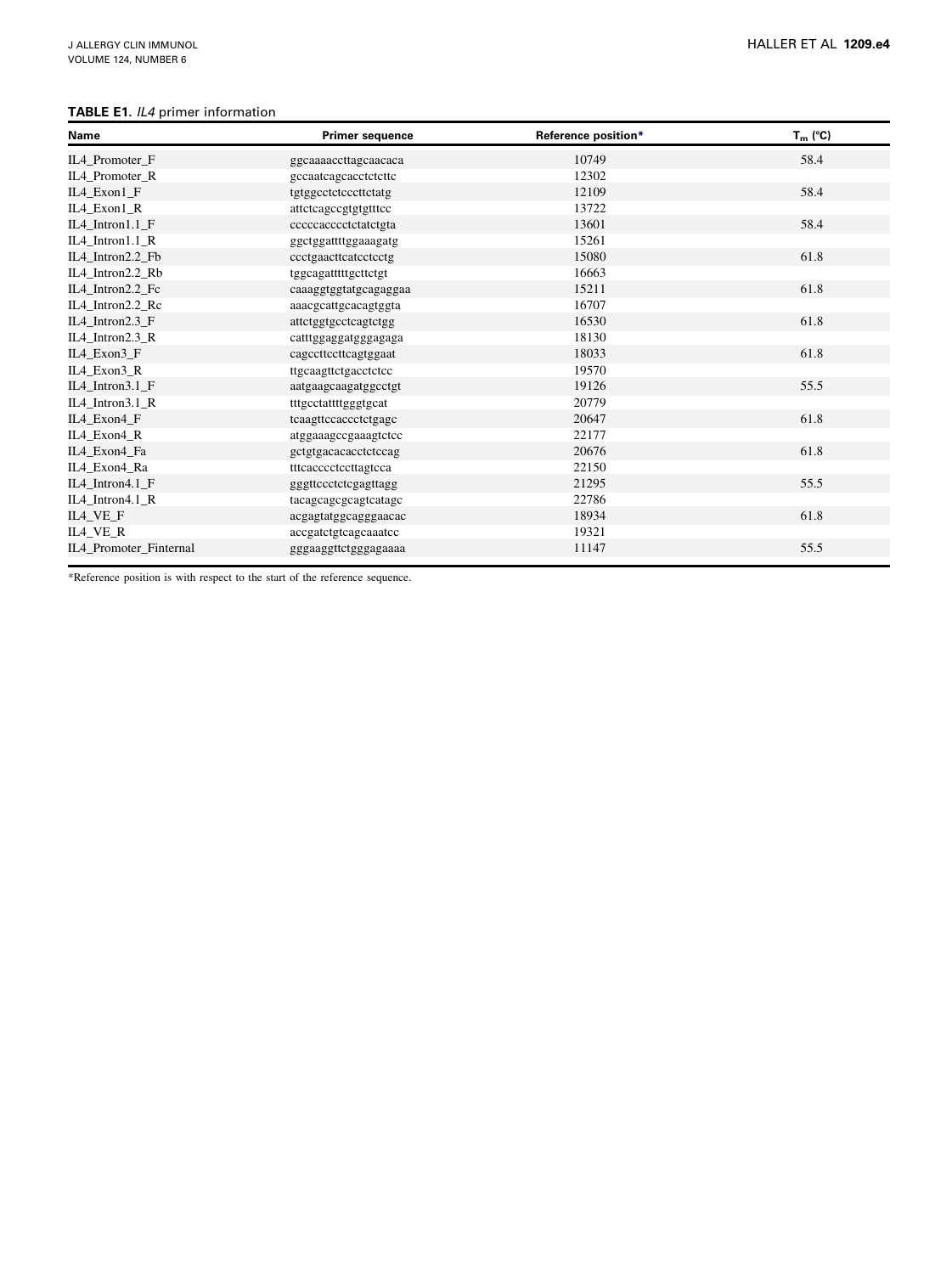## TABLE E1. IL4 primer information

| <b>Name</b>            | <b>Primer sequence</b> | Reference position* | $T_m$ (°C) |
|------------------------|------------------------|---------------------|------------|
| IL4 Promoter F         | ggcaaaaccttagcaacaca   | 10749               | 58.4       |
| IL4_Promoter_R         | gccaatcagcacctctcttc   | 12302               |            |
| IL4_Exon1_F            | tgtggcctctcccttctatg   | 12109               | 58.4       |
| IL4_Exon1_R            | atteteageegtgtgtttee   | 13722               |            |
| IL4_Intron1.1_F        | cccccacccctctatctgta   | 13601               | 58.4       |
| IL4 Intron1.1 R        | ggctggattttggaaagatg   | 15261               |            |
| IL4_Intron2.2_Fb       | ccctgaacttcatcctcctg   | 15080               | 61.8       |
| IL4 Intron2.2 Rb       | tggcagatttttgcttctgt   | 16663               |            |
| IL4_Intron2.2_Fc       | caaaggtggtatgcagaggaa  | 15211               | 61.8       |
| IL4_Intron2.2_Rc       | aaacgcattgcacagtggta   | 16707               |            |
| IL4_Intron2.3_F        | attetggtgeeteagtetgg   | 16530               | 61.8       |
| IL4 Intron2.3 R        | catttggaggatgggagaga   | 18130               |            |
| IL4_Exon3_F            | cagcettccttcagtggaat   | 18033               | 61.8       |
| IL4_Exon3_R            | ttgcaagttctgacctctcc   | 19570               |            |
| IL4_Intron3.1_F        | aatgaagcaagatggcctgt   | 19126               | 55.5       |
| IL4 Intron3.1 R        | tttgcctattttgggtgcat   | 20779               |            |
| IL4_Exon4_F            | tcaagttccaccctctgagc   | 20647               | 61.8       |
| IL4_Exon4_R            | atggaaagccgaaagtctcc   | 22177               |            |
| IL4_Exon4_Fa           | gctgtgacacacctctccag   | 20676               | 61.8       |
| IL4_Exon4_Ra           | tttcacccctccttagtcca   | 22150               |            |
| IL4_Intron4.1_F        | gggttccctctcgagttagg   | 21295               | 55.5       |
| IL4 Intron4.1 R        | tacagcagcgcagtcatagc   | 22786               |            |
| IL4_VE_F               | acgagtatggcagggaacac   | 18934               | 61.8       |
| IL4 VE R               | accgatctgtcagcaaatcc   | 19321               |            |
| IL4 Promoter Finternal | gggaaggttctgggagaaaa   | 11147               | 55.5       |

\*Reference position is with respect to the start of the reference sequence.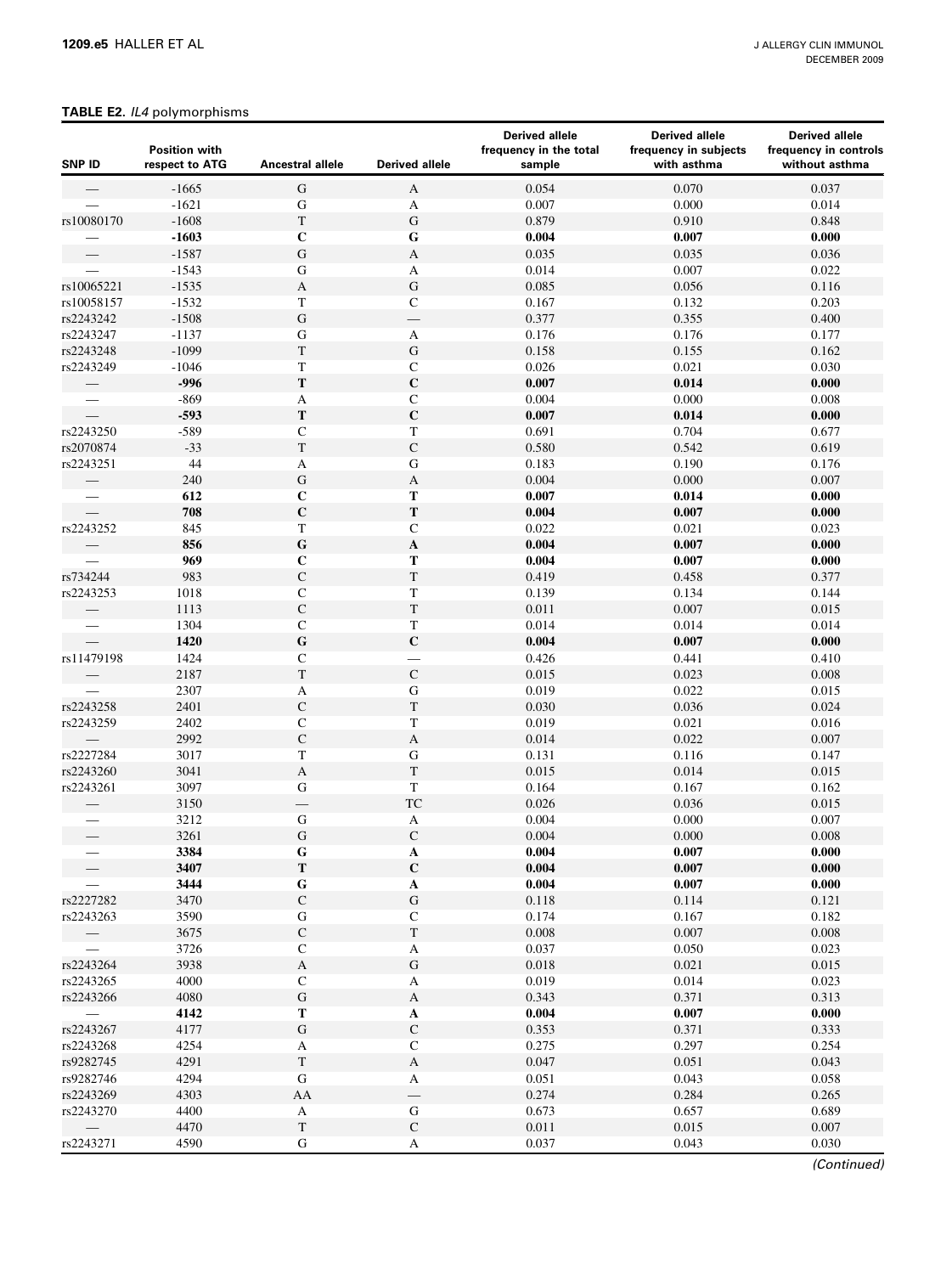### TABLE E2. IL4 polymorphisms

| <b>SNP ID</b> | <b>Position with</b><br>respect to ATG | Ancestral allele          | <b>Derived allele</b>       | <b>Derived allele</b><br>frequency in the total<br>sample | <b>Derived allele</b><br>frequency in subjects<br>with asthma | <b>Derived allele</b><br>frequency in controls<br>without asthma |
|---------------|----------------------------------------|---------------------------|-----------------------------|-----------------------------------------------------------|---------------------------------------------------------------|------------------------------------------------------------------|
|               | $-1665$                                | ${\bf G}$                 | A                           | 0.054                                                     | 0.070                                                         | 0.037                                                            |
|               | $-1621$                                | ${\bf G}$                 | A                           | 0.007                                                     | 0.000                                                         | 0.014                                                            |
| rs10080170    | $-1608$                                | $\mathbf T$               | $\mathbf G$                 | 0.879                                                     | 0.910                                                         | 0.848                                                            |
|               | $-1603$                                | $\mathbf C$               | ${\bf G}$                   | 0.004                                                     | 0.007                                                         | 0.000                                                            |
|               | $-1587$                                | ${\bf G}$                 | $\mathbf{A}$                | 0.035                                                     | 0.035                                                         | 0.036                                                            |
|               | $-1543$                                | ${\bf G}$                 | A                           | 0.014                                                     | 0.007                                                         | 0.022                                                            |
| rs10065221    | $-1535$                                | A                         | ${\bf G}$                   | 0.085                                                     | 0.056                                                         | 0.116                                                            |
| rs10058157    | $-1532$                                | $\mathbf T$               | $\mathbf C$                 | 0.167                                                     | 0.132                                                         | 0.203                                                            |
| rs2243242     | $-1508$                                | ${\bf G}$                 |                             | 0.377                                                     | 0.355                                                         | 0.400                                                            |
| rs2243247     | $-1137$                                | ${\bf G}$                 | A                           | 0.176                                                     | 0.176                                                         | 0.177                                                            |
| rs2243248     | $-1099$                                | $\mathbf T$               | ${\bf G}$                   | 0.158                                                     | 0.155                                                         | 0.162                                                            |
| rs2243249     | $-1046$                                | $\mathbf T$               | $\mathbf C$                 | 0.026                                                     | 0.021                                                         | 0.030                                                            |
|               | $-996$                                 | ${\bf T}$                 | $\mathbf C$                 | 0.007                                                     | 0.014                                                         | 0.000                                                            |
|               | $-869$                                 | A                         | $\mathbf C$                 | 0.004                                                     | 0.000                                                         | 0.008                                                            |
|               | $-593$                                 | ${\bf T}$                 | $\mathbf C$                 | 0.007                                                     | 0.014                                                         | 0.000                                                            |
| rs2243250     | $-589$                                 | ${\bf C}$                 | $\mathbf T$                 | 0.691                                                     | 0.704                                                         | 0.677                                                            |
| rs2070874     | $-33$                                  | $\mathbf T$               | ${\bf C}$                   | 0.580                                                     | 0.542                                                         | 0.619                                                            |
| rs2243251     | 44                                     | $\boldsymbol{\mathsf{A}}$ | ${\bf G}$                   | 0.183                                                     | 0.190                                                         | 0.176                                                            |
|               | 240                                    | ${\bf G}$                 | $\mathbf{A}$                | 0.004                                                     | 0.000                                                         | 0.007                                                            |
|               | 612                                    | $\mathbf C$               | Т                           | 0.007                                                     | 0.014                                                         | 0.000                                                            |
|               | 708                                    | $\mathbf C$               | $\mathbf T$                 | 0.004                                                     | 0.007                                                         | 0.000                                                            |
| rs2243252     | 845                                    | $\mathbf T$               | $\mathsf C$                 | 0.022                                                     | 0.021                                                         | 0.023                                                            |
|               | 856                                    | ${\bf G}$                 | $\mathbf A$                 | 0.004                                                     | 0.007                                                         | 0.000                                                            |
|               | 969                                    | $\mathbf C$               | Т                           | 0.004                                                     | 0.007                                                         | 0.000                                                            |
| rs734244      | 983                                    | ${\bf C}$                 | $\mathbf T$                 | 0.419                                                     | 0.458                                                         | 0.377                                                            |
| rs2243253     | 1018                                   | ${\bf C}$                 | $\mathbf T$                 | 0.139                                                     | 0.134                                                         | 0.144                                                            |
|               | 1113                                   | ${\bf C}$                 | $\mathbf T$                 | 0.011                                                     | 0.007                                                         | 0.015                                                            |
|               | 1304                                   | ${\bf C}$                 | $\mathbf T$                 | 0.014                                                     | 0.014                                                         | 0.014                                                            |
|               | 1420                                   | $\mathbf G$               | $\mathbf C$                 | 0.004                                                     | 0.007                                                         | 0.000                                                            |
| rs11479198    | 1424                                   | ${\bf C}$                 | —                           | 0.426                                                     | 0.441                                                         | 0.410                                                            |
|               | 2187                                   | $\mathcal T$              | ${\bf C}$                   | 0.015                                                     | 0.023                                                         | $0.008\,$                                                        |
|               | 2307                                   | A                         | ${\bf G}$                   | 0.019                                                     | 0.022                                                         | 0.015                                                            |
| rs2243258     | 2401                                   | ${\bf C}$                 | $\mathbf T$                 | 0.030                                                     | 0.036                                                         | 0.024                                                            |
| rs2243259     | 2402                                   | ${\bf C}$                 | $\mathbf T$                 | 0.019                                                     | 0.021                                                         | 0.016                                                            |
|               | 2992                                   | $\mathbf C$               | $\boldsymbol{\mathsf{A}}$   | 0.014                                                     | 0.022                                                         | 0.007                                                            |
| rs2227284     | 3017                                   | $\mathbf T$               | ${\bf G}$                   | 0.131                                                     | 0.116                                                         | 0.147                                                            |
| rs2243260     | 3041                                   | $\mathbf A$               | $\mathbf T$                 | 0.015                                                     | 0.014                                                         | 0.015                                                            |
| rs2243261     | 3097                                   | ${\bf G}$                 | T                           | 0.164                                                     | 0.167                                                         | 0.162                                                            |
|               | 3150                                   |                           | <b>TC</b>                   | 0.026                                                     | 0.036                                                         | 0.015                                                            |
|               | 3212                                   | ${\bf G}$                 |                             | 0.004                                                     | 0.000                                                         | 0.007                                                            |
|               | 3261                                   | ${\bf G}$                 | $\mathbf{A}$<br>$\mathsf C$ | 0.004                                                     | 0.000                                                         | 0.008                                                            |
|               | 3384                                   | G                         |                             | 0.004                                                     | 0.007                                                         | 0.000                                                            |
|               | 3407                                   | ${\bf T}$                 | A<br>$\mathbf C$            | 0.004                                                     | 0.007                                                         | 0.000                                                            |
|               | 3444                                   |                           |                             | 0.004                                                     | 0.007                                                         | 0.000                                                            |
| rs2227282     | 3470                                   | ${\bf G}$<br>${\bf C}$    | A<br>${\bf G}$              | 0.118                                                     | 0.114                                                         | 0.121                                                            |
|               |                                        |                           |                             |                                                           |                                                               |                                                                  |
| rs2243263     | 3590                                   | ${\bf G}$                 | $\mathbf C$                 | 0.174                                                     | 0.167                                                         | 0.182                                                            |
|               | 3675                                   | ${\bf C}$                 | $\mathbf T$                 | 0.008                                                     | 0.007                                                         | 0.008                                                            |
|               | 3726                                   | $\mathbf C$               | A                           | 0.037                                                     | 0.050                                                         | 0.023                                                            |
| rs2243264     | 3938                                   | $\mathbf A$               | ${\bf G}$                   | 0.018                                                     | 0.021                                                         | 0.015                                                            |
| rs2243265     | 4000                                   | $\mathbf C$               | A                           | 0.019                                                     | 0.014                                                         | 0.023                                                            |
| rs2243266     | 4080                                   | ${\bf G}$                 | A                           | 0.343                                                     | 0.371                                                         | 0.313                                                            |
|               | 4142                                   | $\mathbf T$               | $\mathbf A$                 | 0.004                                                     | 0.007                                                         | 0.000                                                            |
| rs2243267     | 4177                                   | ${\bf G}$                 | ${\bf C}$                   | 0.353                                                     | 0.371                                                         | 0.333                                                            |
| rs2243268     | 4254                                   | A                         | $\mathbf C$                 | 0.275                                                     | 0.297                                                         | 0.254                                                            |
| rs9282745     | 4291                                   | $\mathbf T$               | A                           | 0.047                                                     | 0.051                                                         | 0.043                                                            |
| rs9282746     | 4294                                   | ${\bf G}$                 | A                           | 0.051                                                     | 0.043                                                         | 0.058                                                            |
| rs2243269     | 4303                                   | AA                        | $\overline{\phantom{0}}$    | 0.274                                                     | 0.284                                                         | 0.265                                                            |
| rs2243270     | 4400                                   | A                         | ${\bf G}$                   | 0.673                                                     | 0.657                                                         | 0.689                                                            |
|               | 4470                                   | $\mathbf T$               | ${\bf C}$                   | 0.011                                                     | 0.015                                                         | 0.007                                                            |
| rs2243271     | 4590                                   | G                         | A                           | 0.037                                                     | 0.043                                                         | 0.030                                                            |

(Continued)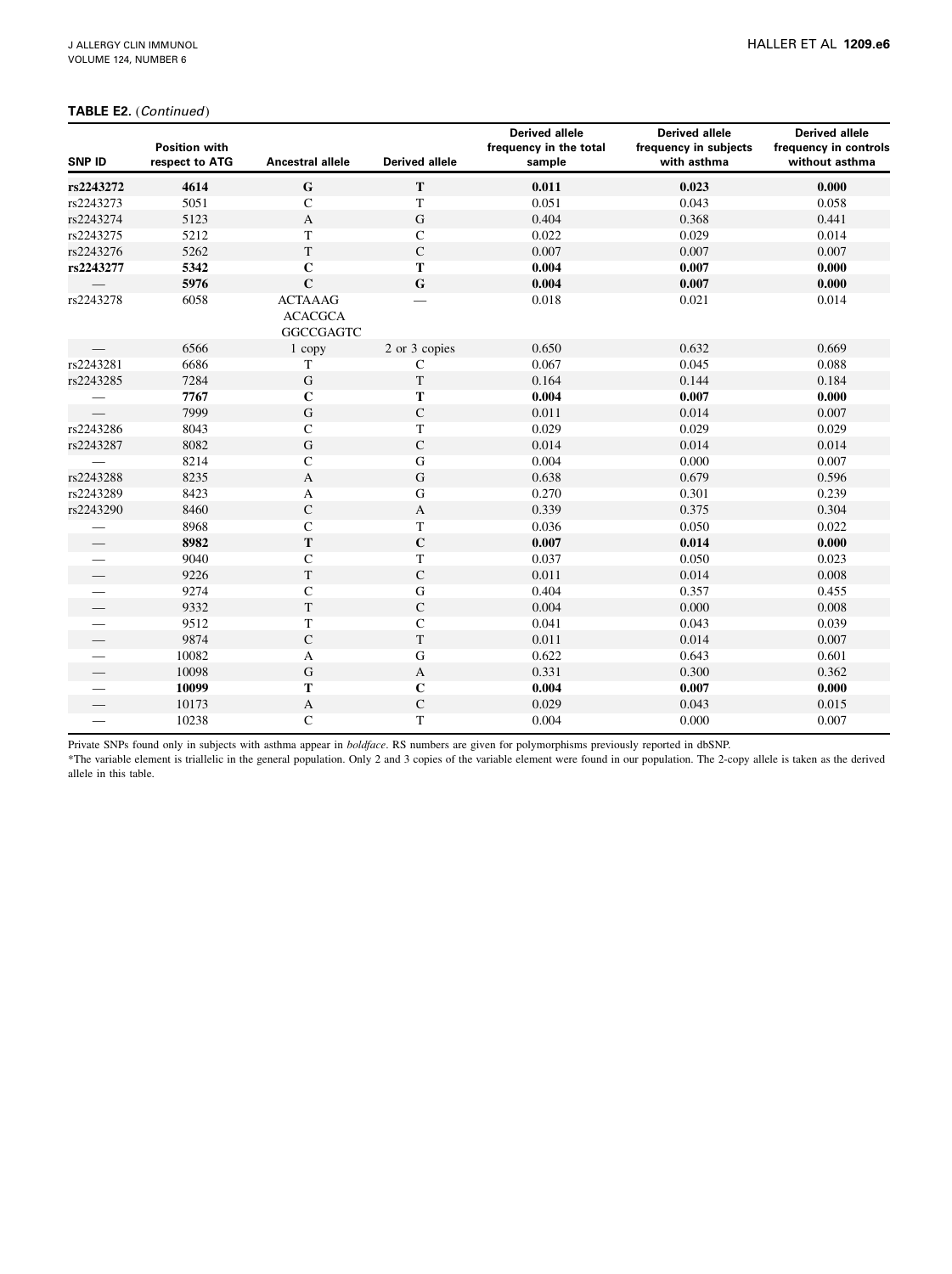### TABLE E2. (Continued)

|               | <b>Position with</b> |                  |                       | <b>Derived allele</b><br>frequency in the total | <b>Derived allele</b><br>frequency in subjects | <b>Derived allele</b><br>frequency in controls |
|---------------|----------------------|------------------|-----------------------|-------------------------------------------------|------------------------------------------------|------------------------------------------------|
| <b>SNP ID</b> | respect to ATG       | Ancestral allele | <b>Derived allele</b> | sample                                          | with asthma                                    | without asthma                                 |
| rs2243272     | 4614                 | ${\bf G}$        | ${\bf T}$             | 0.011                                           | 0.023                                          | 0.000                                          |
| rs2243273     | 5051                 | $\mathsf{C}$     | T                     | 0.051                                           | 0.043                                          | 0.058                                          |
| rs2243274     | 5123                 | $\mathbf{A}$     | $\mathbf G$           | 0.404                                           | 0.368                                          | 0.441                                          |
| rs2243275     | 5212                 | T                | ${\bf C}$             | 0.022                                           | 0.029                                          | 0.014                                          |
| rs2243276     | 5262                 | $\mathbf T$      | ${\bf C}$             | 0.007                                           | 0.007                                          | 0.007                                          |
| rs2243277     | 5342                 | $\mathbf C$      | T                     | 0.004                                           | 0.007                                          | 0.000                                          |
|               | 5976                 | $\mathbf C$      | ${\bf G}$             | 0.004                                           | 0.007                                          | 0.000                                          |
| rs2243278     | 6058                 | <b>ACTAAAG</b>   |                       | 0.018                                           | 0.021                                          | 0.014                                          |
|               |                      | <b>ACACGCA</b>   |                       |                                                 |                                                |                                                |
|               |                      | <b>GGCCGAGTC</b> |                       |                                                 |                                                |                                                |
|               | 6566                 | 1 copy           | 2 or 3 copies         | 0.650                                           | 0.632                                          | 0.669                                          |
| rs2243281     | 6686                 | T                | $\mathsf{C}$          | 0.067                                           | 0.045                                          | 0.088                                          |
| rs2243285     | 7284                 | ${\bf G}$        | $\mathbf T$           | 0.164                                           | 0.144                                          | 0.184                                          |
|               | 7767                 | $\mathbf C$      | T                     | 0.004                                           | 0.007                                          | 0.000                                          |
|               | 7999                 | $\mathbf G$      | ${\bf C}$             | 0.011                                           | 0.014                                          | 0.007                                          |
| rs2243286     | 8043                 | ${\bf C}$        | T                     | 0.029                                           | 0.029                                          | 0.029                                          |
| rs2243287     | 8082                 | ${\bf G}$        | ${\bf C}$             | 0.014                                           | 0.014                                          | 0.014                                          |
|               | 8214                 | $\mathsf{C}$     | ${\bf G}$             | 0.004                                           | 0.000                                          | 0.007                                          |
| rs2243288     | 8235                 | $\mathbf{A}$     | ${\bf G}$             | 0.638                                           | 0.679                                          | 0.596                                          |
| rs2243289     | 8423                 | A                | ${\bf G}$             | 0.270                                           | 0.301                                          | 0.239                                          |
| rs2243290     | 8460                 | $\mathsf C$      | $\mathbf{A}$          | 0.339                                           | 0.375                                          | 0.304                                          |
|               | 8968                 | $\mathbf C$      | $\mathbf T$           | 0.036                                           | 0.050                                          | 0.022                                          |
|               | 8982                 | ${\bf T}$        | $\mathbf C$           | 0.007                                           | 0.014                                          | 0.000                                          |
|               | 9040                 | $\mathbf C$      | T                     | 0.037                                           | 0.050                                          | 0.023                                          |
|               | 9226                 | $\mathbf T$      | ${\bf C}$             | 0.011                                           | 0.014                                          | 0.008                                          |
|               | 9274                 | $\mathsf{C}$     | ${\bf G}$             | 0.404                                           | 0.357                                          | 0.455                                          |
|               | 9332                 | $\mathbf T$      | ${\bf C}$             | 0.004                                           | 0.000                                          | 0.008                                          |
|               | 9512                 | $\mathbf T$      | $\mathbf C$           | 0.041                                           | 0.043                                          | 0.039                                          |
|               | 9874                 | $\mathsf{C}$     | $\mathbf T$           | 0.011                                           | 0.014                                          | 0.007                                          |
|               | 10082                | A                | $\mathbf G$           | 0.622                                           | 0.643                                          | 0.601                                          |
|               | 10098                | ${\bf G}$        | A                     | 0.331                                           | 0.300                                          | 0.362                                          |
|               | 10099                | T                | $\mathbf C$           | 0.004                                           | 0.007                                          | 0.000                                          |
|               | 10173                | $\mathbf{A}$     | ${\bf C}$             | 0.029                                           | 0.043                                          | 0.015                                          |
|               | 10238                | $\mathbf C$      | T                     | 0.004                                           | 0.000                                          | 0.007                                          |

Private SNPs found only in subjects with asthma appear in *boldface*. RS numbers are given for polymorphisms previously reported in dbSNP.

\*The variable element is triallelic in the general population. Only 2 and 3 copies of the variable element were found in our population. The 2-copy allele is taken as the derived allele in this table.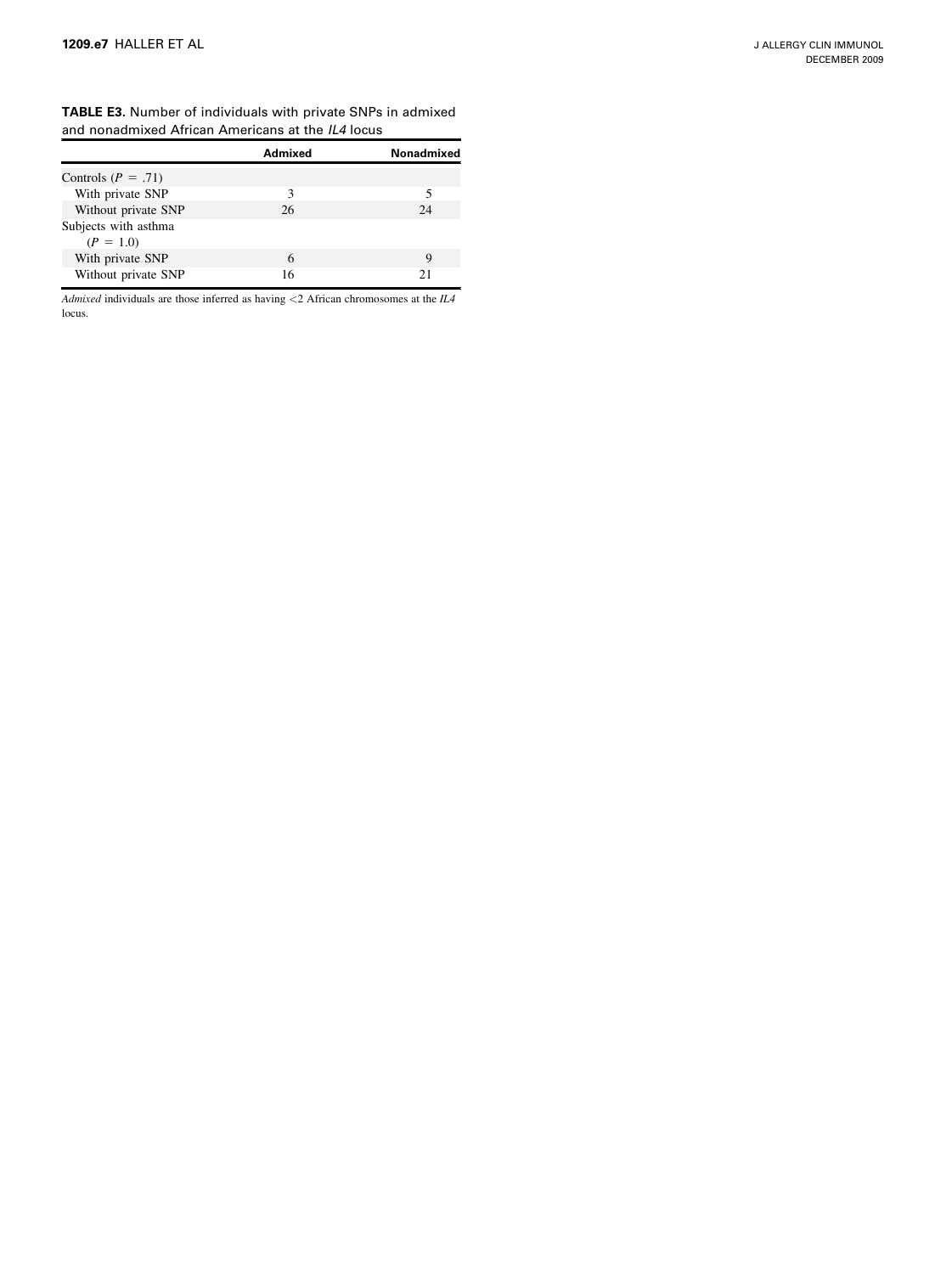| <b>TABLE E3.</b> Number of individuals with private SNPs in admixed |  |
|---------------------------------------------------------------------|--|
| and nonadmixed African Americans at the IL4 locus                   |  |

|                                     | Admixed | Nonadmixed |
|-------------------------------------|---------|------------|
| Controls ( $P = .71$ )              |         |            |
| With private SNP                    |         |            |
| Without private SNP                 | 26      | 24         |
| Subjects with asthma<br>$(P = 1.0)$ |         |            |
| With private SNP                    | 6       | Q          |
| Without private SNP                 | 16      | 21         |

Admixed individuals are those inferred as having  $<$  2 African chromosomes at the  $I\!L\!A$ locus.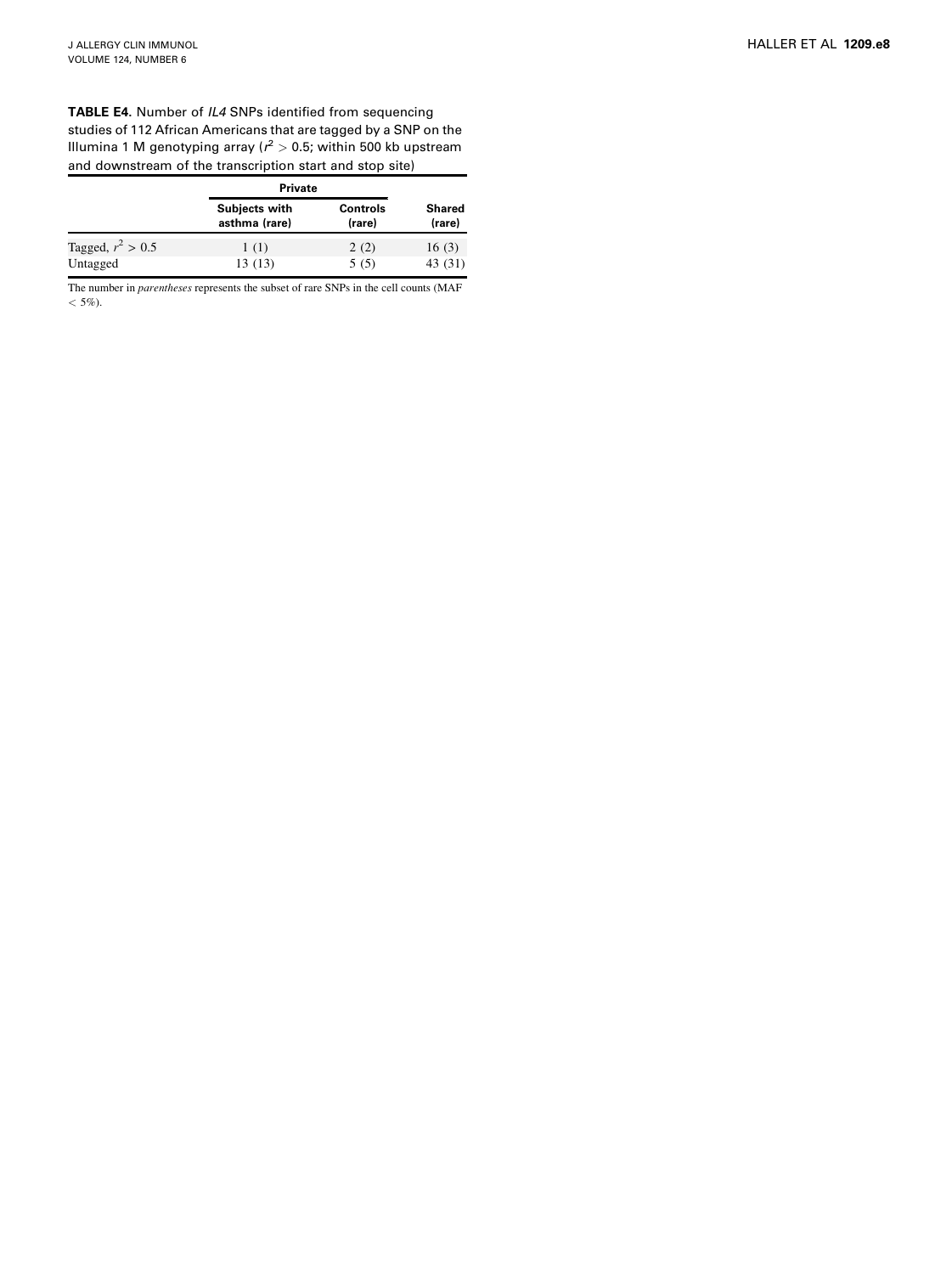TABLE E4. Number of IL4 SNPs identified from sequencing studies of 112 African Americans that are tagged by a SNP on the Illumina 1 M genotyping array ( $r^2 > 0.5$ ; within 500 kb upstream and downstream of the transcription start and stop site)

|                     | <b>Private</b>                        |                           |                  |
|---------------------|---------------------------------------|---------------------------|------------------|
|                     | <b>Subjects with</b><br>asthma (rare) | <b>Controls</b><br>(rare) | Shared<br>(rare) |
| Tagged, $r^2 > 0.5$ | 1(1)                                  | 2(2)                      | 16(3)            |
| Untagged            | 13(13)                                | 5(5)                      | 43 (31)          |

The number in parentheses represents the subset of rare SNPs in the cell counts (MAF  $<$  5%).